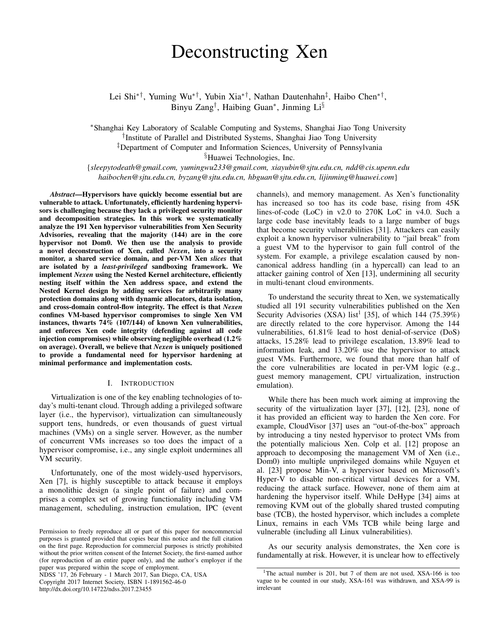# Deconstructing Xen

Lei Shi<sup>∗†</sup>, Yuming Wu<sup>∗†</sup>, Yubin Xia<sup>∗†</sup>, Nathan Dautenhahn<sup>‡</sup>, Haibo Chen<sup>∗†</sup>, Binyu Zang<sup>†</sup>, Haibing Guan<sup>\*</sup>, Jinming Li<sup>§</sup>

<sup>∗</sup>Shanghai Key Laboratory of Scalable Computing and Systems, Shanghai Jiao Tong University † Institute of Parallel and Distributed Systems, Shanghai Jiao Tong University ‡Department of Computer and Information Sciences, University of Pennsylvania

§Huawei Technologies, Inc.

{*sleepytodeath@gmail.com, yumingwu233@gmail.com, xiayubin@sjtu.edu.cn, ndd@cis.upenn.edu haibochen@sjtu.edu.cn, byzang@sjtu.edu.cn, hbguan@sjtu.edu.cn, lijinming@huawei.com*}

*Abstract*—Hypervisors have quickly become essential but are vulnerable to attack. Unfortunately, efficiently hardening hypervisors is challenging because they lack a privileged security monitor and decomposition strategies. In this work we systematically analyze the 191 Xen hypervisor vulnerabilities from Xen Security Advisories, revealing that the majority (144) are in the core hypervisor not Dom0. We then use the analysis to provide a novel deconstruction of Xen, called *Nexen*, into a security monitor, a shared service domain, and per-VM Xen *slices* that are isolated by a *least-privileged* sandboxing framework. We implement *Nexen* using the Nested Kernel architecture, efficiently nesting itself within the Xen address space, and extend the Nested Kernel design by adding services for arbitrarily many protection domains along with dynamic allocators, data isolation, and cross-domain control-flow integrity. The effect is that *Nexen* confines VM-based hypervisor compromises to single Xen VM instances, thwarts  $74\%$  (107/144) of known Xen vulnerabilities, and enforces Xen code integrity (defending against all code injection compromises) while observing negligible overhead (1.2% on average). Overall, we believe that *Nexen* is uniquely positioned to provide a fundamental need for hypervisor hardening at minimal performance and implementation costs.

## I. INTRODUCTION

Virtualization is one of the key enabling technologies of today's multi-tenant cloud. Through adding a privileged software layer (i.e., the hypervisor), virtualization can simultaneously support tens, hundreds, or even thousands of guest virtual machines (VMs) on a single server. However, as the number of concurrent VMs increases so too does the impact of a hypervisor compromise, i.e., any single exploit undermines all VM security.

Unfortunately, one of the most widely-used hypervisors, Xen [7], is highly susceptible to attack because it employs a monolithic design (a single point of failure) and comprises a complex set of growing functionality including VM management, scheduling, instruction emulation, IPC (event

NDSS '17, 26 February - 1 March 2017, San Diego, CA, USA Copyright 2017 Internet Society, ISBN 1-1891562-46-0

http://dx.doi.org/10.14722/ndss.2017.23455

channels), and memory management. As Xen's functionality has increased so too has its code base, rising from 45K lines-of-code (LoC) in v2.0 to 270K LoC in v4.0. Such a large code base inevitably leads to a large number of bugs that become security vulnerabilities [31]. Attackers can easily exploit a known hypervisor vulnerability to "jail break" from a guest VM to the hypervisor to gain full control of the system. For example, a privilege escalation caused by noncanonical address handling (in a hypercall) can lead to an attacker gaining control of Xen [13], undermining all security in multi-tenant cloud environments.

To understand the security threat to Xen, we systematically studied all 191 security vulnerabilities published on the Xen Security Advisories (XSA) list<sup>1</sup> [35], of which 144 (75.39%) are directly related to the core hypervisor. Among the 144 vulnerabilities, 61.81% lead to host denial-of-service (DoS) attacks, 15.28% lead to privilege escalation, 13.89% lead to information leak, and 13.20% use the hypervisor to attack guest VMs. Furthermore, we found that more than half of the core vulnerabilities are located in per-VM logic (e.g., guest memory management, CPU virtualization, instruction emulation).

While there has been much work aiming at improving the security of the virtualization layer [37], [12], [23], none of it has provided an efficient way to harden the Xen core. For example, CloudVisor [37] uses an "out-of-the-box" approach by introducing a tiny nested hypervisor to protect VMs from the potentially malicious Xen. Colp et al. [12] propose an approach to decomposing the management VM of Xen (i.e., Dom0) into multiple unprivileged domains while Nguyen et al. [23] propose Min-V, a hypervisor based on Microsoft's Hyper-V to disable non-critical virtual devices for a VM, reducing the attack surface. However, none of them aim at hardening the hypervisor itself. While DeHype [34] aims at removing KVM out of the globally shared trusted computing base (TCB), the hosted hypervisor, which includes a complete Linux, remains in each VMs TCB while being large and vulnerable (including all Linux vulnerabilities).

As our security analysis demonstrates, the Xen core is fundamentally at risk. However, it is unclear how to effectively

Permission to freely reproduce all or part of this paper for noncommercial purposes is granted provided that copies bear this notice and the full citation on the first page. Reproduction for commercial purposes is strictly prohibited without the prior written consent of the Internet Society, the first-named author (for reproduction of an entire paper only), and the author's employer if the paper was prepared within the scope of employment.

<sup>&</sup>lt;sup>1</sup>The actual number is 201, but 7 of them are not used, XSA-166 is too vague to be counted in our study, XSA-161 was withdrawn, and XSA-99 is irrelevant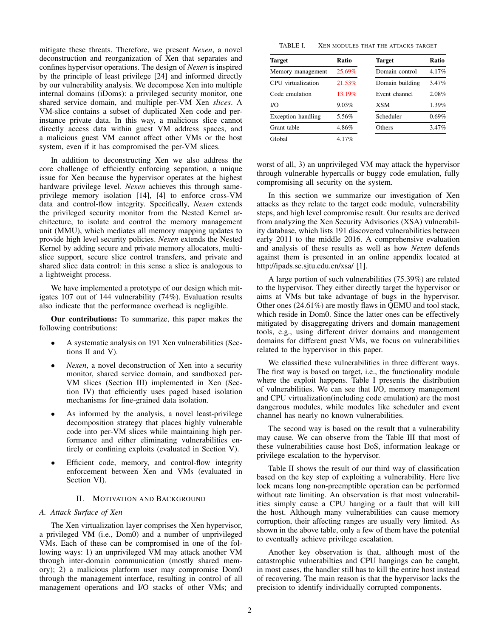mitigate these threats. Therefore, we present *Nexen*, a novel deconstruction and reorganization of Xen that separates and confines hypervisor operations. The design of *Nexen* is inspired by the principle of least privilege [24] and informed directly by our vulnerability analysis. We decompose Xen into multiple internal domains (iDoms): a privileged security monitor, one shared service domain, and multiple per-VM Xen *slices*. A VM-slice contains a subset of duplicated Xen code and perinstance private data. In this way, a malicious slice cannot directly access data within guest VM address spaces, and a malicious guest VM cannot affect other VMs or the host system, even if it has compromised the per-VM slices.

In addition to deconstructing Xen we also address the core challenge of efficiently enforcing separation, a unique issue for Xen because the hypervisor operates at the highest hardware privilege level. *Nexen* achieves this through sameprivilege memory isolation [14], [4] to enforce cross-VM data and control-flow integrity. Specifically, *Nexen* extends the privileged security monitor from the Nested Kernel architecture, to isolate and control the memory management unit (MMU), which mediates all memory mapping updates to provide high level security policies. *Nexen* extends the Nested Kernel by adding secure and private memory allocators, multislice support, secure slice control transfers, and private and shared slice data control: in this sense a slice is analogous to a lightweight process.

We have implemented a prototype of our design which mitigates 107 out of 144 vulnerability (74%). Evaluation results also indicate that the performance overhead is negligible.

Our contributions: To summarize, this paper makes the following contributions:

- A systematic analysis on 191 Xen vulnerabilities (Sections II and V).
- *Nexen*, a novel deconstruction of Xen into a security monitor, shared service domain, and sandboxed per-VM slices (Section III) implemented in Xen (Section IV) that efficiently uses paged based isolation mechanisms for fine-grained data isolation.
- As informed by the analysis, a novel least-privilege decomposition strategy that places highly vulnerable code into per-VM slices while maintaining high performance and either eliminating vulnerabilities entirely or confining exploits (evaluated in Section V).
- Efficient code, memory, and control-flow integrity enforcement between Xen and VMs (evaluated in Section VI).

## II. MOTIVATION AND BACKGROUND

## *A. Attack Surface of Xen*

The Xen virtualization layer comprises the Xen hypervisor, a privileged VM (i.e., Dom0) and a number of unprivileged VMs. Each of these can be compromised in one of the following ways: 1) an unprivileged VM may attack another VM through inter-domain communication (mostly shared memory); 2) a malicious platform user may compromise Dom0 through the management interface, resulting in control of all management operations and I/O stacks of other VMs; and

| TABLE I. | XEN MODULES THAT THE ATTACKS TARGET |  |  |
|----------|-------------------------------------|--|--|
|          |                                     |  |  |

| Target             | Ratio  | <b>Target</b>   | Ratio |  |
|--------------------|--------|-----------------|-------|--|
| Memory management  | 25.69% | Domain control  | 4.17% |  |
| CPU virtualization | 21.53% | Domain building | 3.47% |  |
| Code emulation     | 13.19% | Event channel   | 2.08% |  |
| I/O                | 9.03%  | <b>XSM</b>      | 1.39% |  |
| Exception handling | 5.56%  | Scheduler       | 0.69% |  |
| Grant table        | 4.86%  | Others          | 3.47% |  |
| Global             | 4.17%  |                 |       |  |

worst of all, 3) an unprivileged VM may attack the hypervisor through vulnerable hypercalls or buggy code emulation, fully compromising all security on the system.

In this section we summarize our investigation of Xen attacks as they relate to the target code module, vulnerability steps, and high level compromise result. Our results are derived from analyzing the Xen Security Advisories (XSA) vulnerability database, which lists 191 discovered vulnerabilities between early 2011 to the middle 2016. A comprehensive evaluation and analysis of these results as well as how *Nexen* defends against them is presented in an online appendix located at http://ipads.se.sjtu.edu.cn/xsa/ [1].

A large portion of such vulnerabilities (75.39%) are related to the hypervisor. They either directly target the hypervisor or aims at VMs but take advantage of bugs in the hypervisor. Other ones (24.61%) are mostly flaws in QEMU and tool stack, which reside in Dom0. Since the latter ones can be effectively mitigated by disaggregating drivers and domain management tools, e.g., using different driver domains and management domains for different guest VMs, we focus on vulnerabilities related to the hypervisor in this paper.

We classified these vulnerabilities in three different ways. The first way is based on target, i.e., the functionality module where the exploit happens. Table I presents the distribution of vulnerabilities. We can see that I/O, memory management and CPU virtualization(including code emulation) are the most dangerous modules, while modules like scheduler and event channel has nearly no known vulnerabilities.

The second way is based on the result that a vulnerability may cause. We can observe from the Table III that most of these vulnerabilities cause host DoS, information leakage or privilege escalation to the hypervisor.

Table II shows the result of our third way of classification based on the key step of exploiting a vulnerability. Here live lock means long non-preemptible operation can be performed without rate limiting. An observation is that most vulnerabilities simply cause a CPU hanging or a fault that will kill the host. Although many vulnerabilities can cause memory corruption, their affecting ranges are usually very limited. As shown in the above table, only a few of them have the potential to eventually achieve privilege escalation.

Another key observation is that, although most of the catastrophic vulnerabilties and CPU hangings can be caught, in most cases, the handler still has to kill the entire host instead of recovering. The main reason is that the hypervisor lacks the precision to identify individually corrupted components.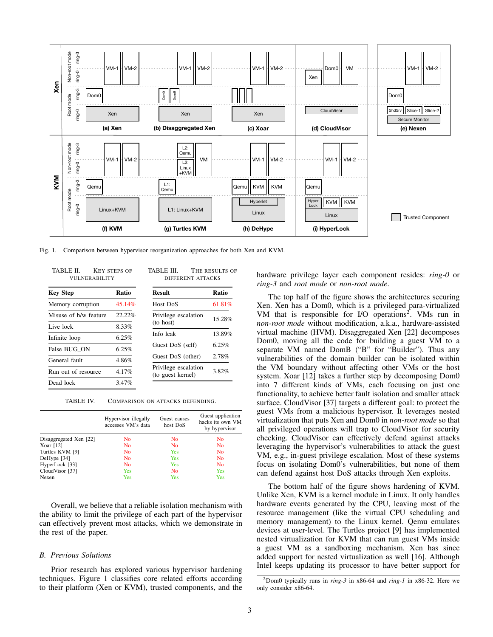

Fig. 1. Comparison between hypervisor reorganization approaches for both Xen and KVM.

| TABLE II.<br><b>VULNERABILITY</b> | <b>KEY STEPS OF</b> | TABLE III.<br>THE RESULTS OF<br>DIFFERENT ATTACKS |        |  |
|-----------------------------------|---------------------|---------------------------------------------------|--------|--|
| <b>Key Step</b>                   | Ratio               | <b>Result</b>                                     | Ratio  |  |
| Memory corruption                 | 45.14%              | Host DoS                                          | 61.81% |  |
| Misuse of h/w feature             | 22.22%              | Privilege escalation                              | 15.28% |  |
| Live lock                         | 8.33%               | (to host)                                         |        |  |
| Infinite loop                     | 6.25%               | Info leak                                         | 13.89% |  |
| False BUG ON                      | 6.25%               | Guest DoS (self)                                  | 6.25%  |  |
| General fault                     | 4.86%               | Guest DoS (other)                                 | 2.78%  |  |
| Run out of resource               | 4.17%               | Privilege escalation<br>(to guest kernel)         | 3.82%  |  |
| Dead lock                         | 3.47%               |                                                   |        |  |

TABLE IV. COMPARISON ON ATTACKS DEFENDING.

|                        | Hypervisor illegally<br>accesses VM's data | Guest causes<br>host DoS | Guest application<br>hacks its own VM<br>by hypervisor |
|------------------------|--------------------------------------------|--------------------------|--------------------------------------------------------|
| Disaggregated Xen [22] | No                                         | N <sub>o</sub>           | No                                                     |
| Xoar $[12]$            | No                                         | N <sub>o</sub>           | No                                                     |
| Turtles KVM [9]        | No                                         | Yes                      | No                                                     |
| DeHype [34]            | No                                         | Yes                      | N <sub>o</sub>                                         |
| HyperLock [33]         | N <sub>o</sub>                             | Yes                      | N <sub>0</sub>                                         |
| CloudVisor [37]        | <b>Yes</b>                                 | No                       | Yes                                                    |
| Nexen                  | Yes                                        | Yes                      | Yes                                                    |

Overall, we believe that a reliable isolation mechanism with the ability to limit the privilege of each part of the hypervisor can effectively prevent most attacks, which we demonstrate in the rest of the paper.

#### *B. Previous Solutions*

Prior research has explored various hypervisor hardening techniques. Figure 1 classifies core related efforts according to their platform (Xen or KVM), trusted components, and the hardware privilege layer each component resides: *ring-0* or *ring-3* and *root mode* or *non-root mode*.

The top half of the figure shows the architectures securing Xen. Xen has a Dom0, which is a privileged para-virtualized VM that is responsible for I/O operations<sup>2</sup>. VMs run in *non-root mode* without modification, a.k.a., hardware-assisted virtual machine (HVM). Disaggregated Xen [22] decomposes Dom0, moving all the code for building a guest VM to a separate VM named DomB ("B" for "Builder"). Thus any vulnerabilities of the domain builder can be isolated within the VM boundary without affecting other VMs or the host system. Xoar [12] takes a further step by decomposing Dom0 into 7 different kinds of VMs, each focusing on just one functionality, to achieve better fault isolation and smaller attack surface. CloudVisor [37] targets a different goal: to protect the guest VMs from a malicious hypervisor. It leverages nested virtualization that puts Xen and Dom0 in *non-root mode* so that all privileged operations will trap to CloudVisor for security checking. CloudVisor can effectively defend against attacks leveraging the hypervisor's vulnerabilities to attack the guest VM, e.g., in-guest privilege escalation. Most of these systems focus on isolating Dom0's vulnerabilities, but none of them can defend against host DoS attacks through Xen exploits.

The bottom half of the figure shows hardening of KVM. Unlike Xen, KVM is a kernel module in Linux. It only handles hardware events generated by the CPU, leaving most of the resource management (like the virtual CPU scheduling and memory management) to the Linux kernel. Qemu emulates devices at user-level. The Turtles project [9] has implemented nested virtualization for KVM that can run guest VMs inside a guest VM as a sandboxing mechanism. Xen has since added support for nested virtualization as well [16]. Although Intel keeps updating its processor to have better support for

<sup>2</sup>Dom0 typically runs in *ring-3* in x86-64 and *ring-1* in x86-32. Here we only consider x86-64.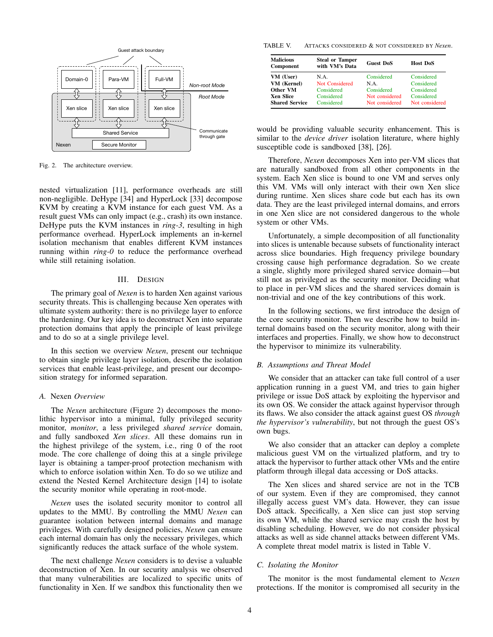

Fig. 2. The architecture overview.

nested virtualization [11], performance overheads are still non-negligible. DeHype [34] and HyperLock [33] decompose KVM by creating a KVM instance for each guest VM. As a result guest VMs can only impact (e.g., crash) its own instance. DeHype puts the KVM instances in *ring-3*, resulting in high performance overhead. HyperLock implements an in-kernel isolation mechanism that enables different KVM instances running within *ring-0* to reduce the performance overhead while still retaining isolation.

#### III. DESIGN

The primary goal of *Nexen* is to harden Xen against various security threats. This is challenging because Xen operates with ultimate system authority: there is no privilege layer to enforce the hardening. Our key idea is to deconstruct Xen into separate protection domains that apply the principle of least privilege and to do so at a single privilege level.

In this section we overview *Nexen*, present our technique to obtain single privilege layer isolation, describe the isolation services that enable least-privilege, and present our decomposition strategy for informed separation.

#### *A.* Nexen *Overview*

The *Nexen* architecture (Figure 2) decomposes the monolithic hypervisor into a minimal, fully privileged security monitor, *monitor*, a less privileged *shared service* domain, and fully sandboxed *Xen slices*. All these domains run in the highest privilege of the system, i.e., ring 0 of the root mode. The core challenge of doing this at a single privilege layer is obtaining a tamper-proof protection mechanism with which to enforce isolation within Xen. To do so we utilize and extend the Nested Kernel Architecture design [14] to isolate the security monitor while operating in root-mode.

*Nexen* uses the isolated security monitor to control all updates to the MMU. By controlling the MMU *Nexen* can guarantee isolation between internal domains and manage privileges. With carefully designed policies, *Nexen* can ensure each internal domain has only the necessary privileges, which significantly reduces the attack surface of the whole system.

The next challenge *Nexen* considers is to devise a valuable deconstruction of Xen. In our security analysis we observed that many vulnerabilities are localized to specific units of functionality in Xen. If we sandbox this functionality then we

TABLE V. ATTACKS CONSIDERED & NOT CONSIDERED BY *Nexen*.

| <b>Malicious</b><br>Component | <b>Steal or Tamper</b><br>with VM's Data | <b>Guest DoS</b> | <b>Host DoS</b> |
|-------------------------------|------------------------------------------|------------------|-----------------|
| VM (User)                     | N.A.                                     | Considered       | Considered      |
| VM (Kernel)                   | Not Considered                           | N A              | Considered      |
| Other VM                      | Considered                               | Considered       | Considered      |
| <b>Xen Slice</b>              | Considered                               | Not considered   | Considered      |
| <b>Shared Service</b>         | Considered                               | Not considered   | Not considered  |

would be providing valuable security enhancement. This is similar to the *device driver* isolation literature, where highly susceptible code is sandboxed [38], [26].

Therefore, *Nexen* decomposes Xen into per-VM slices that are naturally sandboxed from all other components in the system. Each Xen slice is bound to one VM and serves only this VM. VMs will only interact with their own Xen slice during runtime. Xen slices share code but each has its own data. They are the least privileged internal domains, and errors in one Xen slice are not considered dangerous to the whole system or other VMs.

Unfortunately, a simple decomposition of all functionality into slices is untenable because subsets of functionality interact across slice boundaries. High frequency privilege boundary crossing cause high performance degradation. So we create a single, slightly more privileged shared service domain—but still not as privileged as the security monitor. Deciding what to place in per-VM slices and the shared services domain is non-trivial and one of the key contributions of this work.

In the following sections, we first introduce the design of the core security monitor. Then we describe how to build internal domains based on the security monitor, along with their interfaces and properties. Finally, we show how to deconstruct the hypervisor to minimize its vulnerability.

#### *B. Assumptions and Threat Model*

We consider that an attacker can take full control of a user application running in a guest VM, and tries to gain higher privilege or issue DoS attack by exploiting the hypervisor and its own OS. We consider the attack against hypervisor through its flaws. We also consider the attack against guest OS *through the hypervisor's vulnerability*, but not through the guest OS's own bugs.

We also consider that an attacker can deploy a complete malicious guest VM on the virtualized platform, and try to attack the hypervisor to further attack other VMs and the entire platform through illegal data accessing or DoS attacks.

The Xen slices and shared service are not in the TCB of our system. Even if they are compromised, they cannot illegally access guest VM's data. However, they can issue DoS attack. Specifically, a Xen slice can just stop serving its own VM, while the shared service may crash the host by disabling scheduling. However, we do not consider physical attacks as well as side channel attacks between different VMs. A complete threat model matrix is listed in Table V.

## *C. Isolating the Monitor*

The monitor is the most fundamental element to *Nexen* protections. If the monitor is compromised all security in the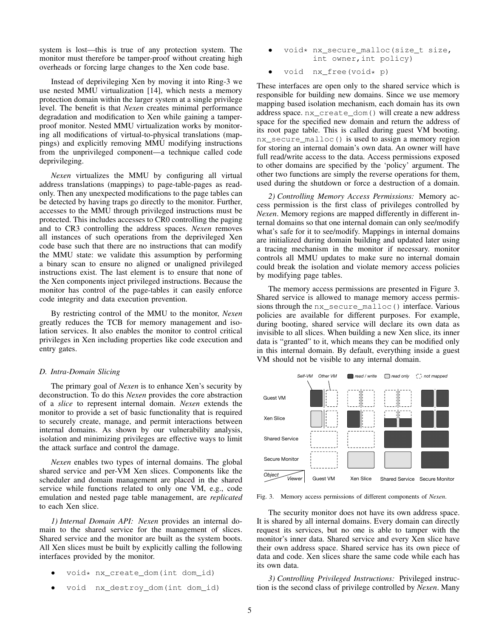system is lost—this is true of any protection system. The monitor must therefore be tamper-proof without creating high overheads or forcing large changes to the Xen code base.

Instead of deprivileging Xen by moving it into Ring-3 we use nested MMU virtualization [14], which nests a memory protection domain within the larger system at a single privilege level. The benefit is that *Nexen* creates minimal performance degradation and modification to Xen while gaining a tamperproof monitor. Nested MMU virtualization works by monitoring all modifications of virtual-to-physical translations (mappings) and explicitly removing MMU modifying instructions from the unprivileged component—a technique called code deprivileging.

*Nexen* virtualizes the MMU by configuring all virtual address translations (mappings) to page-table-pages as readonly. Then any unexpected modifications to the page tables can be detected by having traps go directly to the monitor. Further, accesses to the MMU through privileged instructions must be protected. This includes accesses to CR0 controlling the paging and to CR3 controlling the address spaces. *Nexen* removes all instances of such operations from the deprivileged Xen code base such that there are no instructions that can modify the MMU state: we validate this assumption by performing a binary scan to ensure no aligned or unaligned privileged instructions exist. The last element is to ensure that none of the Xen components inject privileged instructions. Because the monitor has control of the page-tables it can easily enforce code integrity and data execution prevention.

By restricting control of the MMU to the monitor, *Nexen* greatly reduces the TCB for memory management and isolation services. It also enables the monitor to control critical privileges in Xen including properties like code execution and entry gates.

## *D. Intra-Domain Slicing*

The primary goal of *Nexen* is to enhance Xen's security by deconstruction. To do this *Nexen* provides the core abstraction of a *slice* to represent internal domain. *Nexen* extends the monitor to provide a set of basic functionality that is required to securely create, manage, and permit interactions between internal domains. As shown by our vulnerability analysis, isolation and minimizing privileges are effective ways to limit the attack surface and control the damage.

*Nexen* enables two types of internal domains. The global shared service and per-VM Xen slices. Components like the scheduler and domain management are placed in the shared service while functions related to only one VM, e.g., code emulation and nested page table management, are *replicated* to each Xen slice.

*1) Internal Domain API: Nexen* provides an internal domain to the shared service for the management of slices. Shared service and the monitor are built as the system boots. All Xen slices must be built by explicitly calling the following interfaces provided by the monitor.

- void\* nx create dom(int dom id)
- void nx\_destroy\_dom(int dom\_id)
- void\* nx\_secure\_malloc(size\_t size, int owner,int policy)
- void nx free(void\* p)

These interfaces are open only to the shared service which is responsible for building new domains. Since we use memory mapping based isolation mechanism, each domain has its own address space. nx\_create\_dom() will create a new address space for the specified new domain and return the address of its root page table. This is called during guest VM booting. nx secure malloc() is used to assign a memory region for storing an internal domain's own data. An owner will have full read/write access to the data. Access permissions exposed to other domains are specified by the 'policy' argument. The other two functions are simply the reverse operations for them, used during the shutdown or force a destruction of a domain.

*2) Controlling Memory Access Permissions:* Memory access permission is the first class of privileges controlled by *Nexen*. Memory regions are mapped differently in different internal domains so that one internal domain can only see/modify what's safe for it to see/modify. Mappings in internal domains are initialized during domain building and updated later using a tracing mechanism in the monitor if necessary. monitor controls all MMU updates to make sure no internal domain could break the isolation and violate memory access policies by modifying page tables.

The memory access permissions are presented in Figure 3. Shared service is allowed to manage memory access permissions through the nx\_secure\_malloc() interface. Various policies are available for different purposes. For example, during booting, shared service will declare its own data as invisible to all slices. When building a new Xen slice, its inner data is "granted" to it, which means they can be modified only in this internal domain. By default, everything inside a guest VM should not be visible to any internal domain.



Fig. 3. Memory access permissions of different components of *Nexen*.

The security monitor does not have its own address space. It is shared by all internal domains. Every domain can directly request its services, but no one is able to tamper with the monitor's inner data. Shared service and every Xen slice have their own address space. Shared service has its own piece of data and code. Xen slices share the same code while each has its own data.

*3) Controlling Privileged Instructions:* Privileged instruction is the second class of privilege controlled by *Nexen*. Many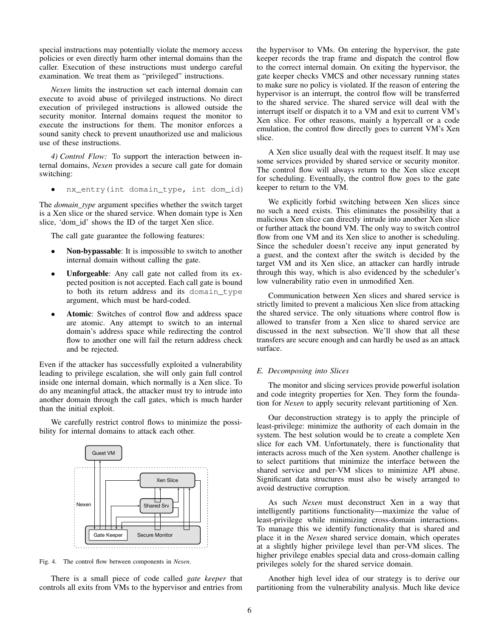special instructions may potentially violate the memory access policies or even directly harm other internal domains than the caller. Execution of these instructions must undergo careful examination. We treat them as "privileged" instructions.

*Nexen* limits the instruction set each internal domain can execute to avoid abuse of privileged instructions. No direct execution of privileged instructions is allowed outside the security monitor. Internal domains request the monitor to execute the instructions for them. The monitor enforces a sound sanity check to prevent unauthorized use and malicious use of these instructions.

*4) Control Flow:* To support the interaction between internal domains, *Nexen* provides a secure call gate for domain switching:

• nx\_entry(int domain\_type, int dom\_id)

The *domain\_type* argument specifies whether the switch target is a Xen slice or the shared service. When domain type is Xen slice, 'dom\_id' shows the ID of the target Xen slice.

The call gate guarantee the following features:

- Non-bypassable: It is impossible to switch to another internal domain without calling the gate.
- Unforgeable: Any call gate not called from its expected position is not accepted. Each call gate is bound to both its return address and its domain\_type argument, which must be hard-coded.
- Atomic: Switches of control flow and address space are atomic. Any attempt to switch to an internal domain's address space while redirecting the control flow to another one will fail the return address check and be rejected.

Even if the attacker has successfully exploited a vulnerability leading to privilege escalation, she will only gain full control inside one internal domain, which normally is a Xen slice. To do any meaningful attack, the attacker must try to intrude into another domain through the call gates, which is much harder than the initial exploit.

We carefully restrict control flows to minimize the possibility for internal domains to attack each other.



Fig. 4. The control flow between components in *Nexen*.

There is a small piece of code called *gate keeper* that controls all exits from VMs to the hypervisor and entries from the hypervisor to VMs. On entering the hypervisor, the gate keeper records the trap frame and dispatch the control flow to the correct internal domain. On exiting the hypervisor, the gate keeper checks VMCS and other necessary running states to make sure no policy is violated. If the reason of entering the hypervisor is an interrupt, the control flow will be transferred to the shared service. The shared service will deal with the interrupt itself or dispatch it to a VM and exit to current VM's Xen slice. For other reasons, mainly a hypercall or a code emulation, the control flow directly goes to current VM's Xen slice.

A Xen slice usually deal with the request itself. It may use some services provided by shared service or security monitor. The control flow will always return to the Xen slice except for scheduling. Eventually, the control flow goes to the gate keeper to return to the VM.

We explicitly forbid switching between Xen slices since no such a need exists. This eliminates the possibility that a malicious Xen slice can directly intrude into another Xen slice or further attack the bound VM. The only way to switch control flow from one VM and its Xen slice to another is scheduling. Since the scheduler doesn't receive any input generated by a guest, and the context after the switch is decided by the target VM and its Xen slice, an attacker can hardly intrude through this way, which is also evidenced by the scheduler's low vulnerability ratio even in unmodified Xen.

Communication between Xen slices and shared service is strictly limited to prevent a malicious Xen slice from attacking the shared service. The only situations where control flow is allowed to transfer from a Xen slice to shared service are discussed in the next subsection. We'll show that all these transfers are secure enough and can hardly be used as an attack surface.

## *E. Decomposing into Slices*

The monitor and slicing services provide powerful isolation and code integrity properties for Xen. They form the foundation for *Nexen* to apply security relevant partitioning of Xen.

Our deconstruction strategy is to apply the principle of least-privilege: minimize the authority of each domain in the system. The best solution would be to create a complete Xen slice for each VM. Unfortunately, there is functionality that interacts across much of the Xen system. Another challenge is to select partitions that minimize the interface between the shared service and per-VM slices to minimize API abuse. Significant data structures must also be wisely arranged to avoid destructive corruption.

As such *Nexen* must deconstruct Xen in a way that intelligently partitions functionality—maximize the value of least-privilege while minimizing cross-domain interactions. To manage this we identify functionality that is shared and place it in the *Nexen* shared service domain, which operates at a slightly higher privilege level than per-VM slices. The higher privilege enables special data and cross-domain calling privileges solely for the shared service domain.

Another high level idea of our strategy is to derive our partitioning from the vulnerability analysis. Much like device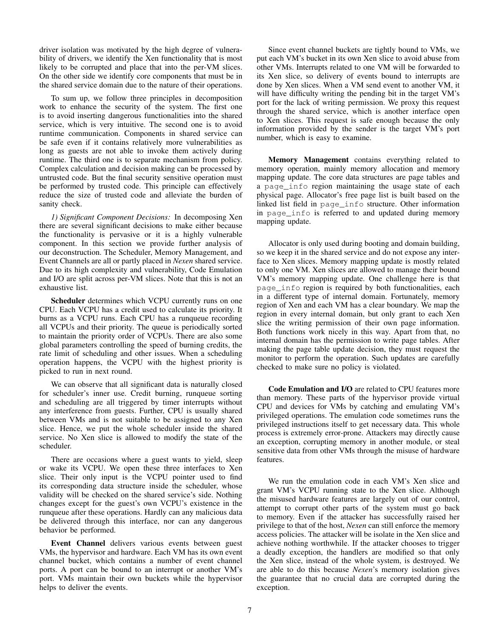driver isolation was motivated by the high degree of vulnerability of drivers, we identify the Xen functionality that is most likely to be corrupted and place that into the per-VM slices. On the other side we identify core components that must be in the shared service domain due to the nature of their operations.

To sum up, we follow three principles in decomposition work to enhance the security of the system. The first one is to avoid inserting dangerous functionalities into the shared service, which is very intuitive. The second one is to avoid runtime communication. Components in shared service can be safe even if it contains relatively more vulnerabilities as long as guests are not able to invoke them actively during runtime. The third one is to separate mechanism from policy. Complex calculation and decision making can be processed by untrusted code. But the final security sensitive operation must be performed by trusted code. This principle can effectively reduce the size of trusted code and alleviate the burden of sanity check.

*1) Significant Component Decisions:* In decomposing Xen there are several significant decisions to make either because the functionality is pervasive or it is a highly vulnerable component. In this section we provide further analysis of our deconstruction. The Scheduler, Memory Management, and Event Channels are all or partly placed in *Nexen* shared service. Due to its high complexity and vulnerability, Code Emulation and I/O are split across per-VM slices. Note that this is not an exhaustive list.

Scheduler determines which VCPU currently runs on one CPU. Each VCPU has a credit used to calculate its priority. It burns as a VCPU runs. Each CPU has a runqueue recording all VCPUs and their priority. The queue is periodically sorted to maintain the priority order of VCPUs. There are also some global parameters controlling the speed of burning credits, the rate limit of scheduling and other issues. When a scheduling operation happens, the VCPU with the highest priority is picked to run in next round.

We can observe that all significant data is naturally closed for scheduler's inner use. Credit burning, runqueue sorting and scheduling are all triggered by timer interrupts without any interference from guests. Further, CPU is usually shared between VMs and is not suitable to be assigned to any Xen slice. Hence, we put the whole scheduler inside the shared service. No Xen slice is allowed to modify the state of the scheduler.

There are occasions where a guest wants to yield, sleep or wake its VCPU. We open these three interfaces to Xen slice. Their only input is the VCPU pointer used to find its corresponding data structure inside the scheduler, whose validity will be checked on the shared service's side. Nothing changes except for the guest's own VCPU's existence in the runqueue after these operations. Hardly can any malicious data be delivered through this interface, nor can any dangerous behavior be performed.

Event Channel delivers various events between guest VMs, the hypervisor and hardware. Each VM has its own event channel bucket, which contains a number of event channel ports. A port can be bound to an interrupt or another VM's port. VMs maintain their own buckets while the hypervisor helps to deliver the events.

Since event channel buckets are tightly bound to VMs, we put each VM's bucket in its own Xen slice to avoid abuse from other VMs. Interrupts related to one VM will be forwarded to its Xen slice, so delivery of events bound to interrupts are done by Xen slices. When a VM send event to another VM, it will have difficulty writing the pending bit in the target VM's port for the lack of writing permission. We proxy this request through the shared service, which is another interface open to Xen slices. This request is safe enough because the only information provided by the sender is the target VM's port number, which is easy to examine.

Memory Management contains everything related to memory operation, mainly memory allocation and memory mapping update. The core data structures are page tables and a page\_info region maintaining the usage state of each physical page. Allocator's free page list is built based on the linked list field in page\_info structure. Other information in page\_info is referred to and updated during memory mapping update.

Allocator is only used during booting and domain building, so we keep it in the shared service and do not expose any interface to Xen slices. Memory mapping update is mostly related to only one VM. Xen slices are allowed to manage their bound VM's memory mapping update. One challenge here is that page\_info region is required by both functionalities, each in a different type of internal domain. Fortunately, memory region of Xen and each VM has a clear boundary. We map the region in every internal domain, but only grant to each Xen slice the writing permission of their own page information. Both functions work nicely in this way. Apart from that, no internal domain has the permission to write page tables. After making the page table update decision, they must request the monitor to perform the operation. Such updates are carefully checked to make sure no policy is violated.

Code Emulation and I/O are related to CPU features more than memory. These parts of the hypervisor provide virtual CPU and devices for VMs by catching and emulating VM's privileged operations. The emulation code sometimes runs the privileged instructions itself to get necessary data. This whole process is extremely error-prone. Attackers may directly cause an exception, corrupting memory in another module, or steal sensitive data from other VMs through the misuse of hardware features.

We run the emulation code in each VM's Xen slice and grant VM's VCPU running state to the Xen slice. Although the misused hardware features are largely out of our control, attempt to corrupt other parts of the system must go back to memory. Even if the attacker has successfully raised her privilege to that of the host, *Nexen* can still enforce the memory access policies. The attacker will be isolate in the Xen slice and achieve nothing worthwhile. If the attacker chooses to trigger a deadly exception, the handlers are modified so that only the Xen slice, instead of the whole system, is destroyed. We are able to do this because *Nexen*'s memory isolation gives the guarantee that no crucial data are corrupted during the exception.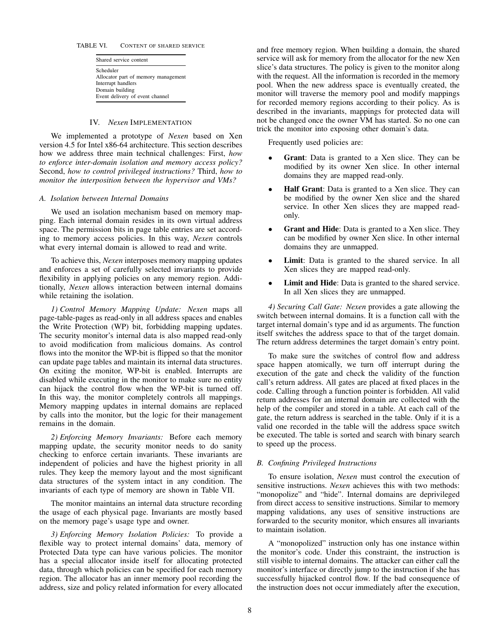#### TABLE VI. CONTENT OF SHARED SERVICE

Shared service content Scheduler Allocator part of memory management Interrupt handlers Domain building Event delivery of event channel

#### IV. *Nexen* IMPLEMENTATION

We implemented a prototype of *Nexen* based on Xen version 4.5 for Intel x86-64 architecture. This section describes how we address three main technical challenges: First, *how to enforce inter-domain isolation and memory access policy?* Second, *how to control privileged instructions?* Third, *how to monitor the interposition between the hypervisor and VMs?*

#### *A. Isolation between Internal Domains*

We used an isolation mechanism based on memory mapping. Each internal domain resides in its own virtual address space. The permission bits in page table entries are set according to memory access policies. In this way, *Nexen* controls what every internal domain is allowed to read and write.

To achieve this, *Nexen* interposes memory mapping updates and enforces a set of carefully selected invariants to provide flexibility in applying policies on any memory region. Additionally, *Nexen* allows interaction between internal domains while retaining the isolation.

*1) Control Memory Mapping Update: Nexen* maps all page-table-pages as read-only in all address spaces and enables the Write Protection (WP) bit, forbidding mapping updates. The security monitor's internal data is also mapped read-only to avoid modification from malicious domains. As control flows into the monitor the WP-bit is flipped so that the monitor can update page tables and maintain its internal data structures. On exiting the monitor, WP-bit is enabled. Interrupts are disabled while executing in the monitor to make sure no entity can hijack the control flow when the WP-bit is turned off. In this way, the monitor completely controls all mappings. Memory mapping updates in internal domains are replaced by calls into the monitor, but the logic for their management remains in the domain.

*2) Enforcing Memory Invariants:* Before each memory mapping update, the security monitor needs to do sanity checking to enforce certain invariants. These invariants are independent of policies and have the highest priority in all rules. They keep the memory layout and the most significant data structures of the system intact in any condition. The invariants of each type of memory are shown in Table VII.

The monitor maintains an internal data structure recording the usage of each physical page. Invariants are mostly based on the memory page's usage type and owner.

*3) Enforcing Memory Isolation Policies:* To provide a flexible way to protect internal domains' data, memory of Protected Data type can have various policies. The monitor has a special allocator inside itself for allocating protected data, through which policies can be specified for each memory region. The allocator has an inner memory pool recording the address, size and policy related information for every allocated and free memory region. When building a domain, the shared service will ask for memory from the allocator for the new Xen slice's data structures. The policy is given to the monitor along with the request. All the information is recorded in the memory pool. When the new address space is eventually created, the monitor will traverse the memory pool and modify mappings for recorded memory regions according to their policy. As is described in the invariants, mappings for protected data will not be changed once the owner VM has started. So no one can trick the monitor into exposing other domain's data.

Frequently used policies are:

- Grant: Data is granted to a Xen slice. They can be modified by its owner Xen slice. In other internal domains they are mapped read-only.
- Half Grant: Data is granted to a Xen slice. They can be modified by the owner Xen slice and the shared service. In other Xen slices they are mapped readonly.
- Grant and Hide: Data is granted to a Xen slice. They can be modified by owner Xen slice. In other internal domains they are unmapped.
- Limit: Data is granted to the shared service. In all Xen slices they are mapped read-only.
- Limit and Hide: Data is granted to the shared service. In all Xen slices they are unmapped.

*4) Securing Call Gate: Nexen* provides a gate allowing the switch between internal domains. It is a function call with the target internal domain's type and id as arguments. The function itself switches the address space to that of the target domain. The return address determines the target domain's entry point.

To make sure the switches of control flow and address space happen atomically, we turn off interrupt during the execution of the gate and check the validity of the function call's return address. All gates are placed at fixed places in the code. Calling through a function pointer is forbidden. All valid return addresses for an internal domain are collected with the help of the compiler and stored in a table. At each call of the gate, the return address is searched in the table. Only if it is a valid one recorded in the table will the address space switch be executed. The table is sorted and search with binary search to speed up the process.

## *B. Confining Privileged Instructions*

To ensure isolation, *Nexen* must control the execution of sensitive instructions. *Nexen* achieves this with two methods: "monopolize" and "hide". Internal domains are deprivileged from direct access to sensitive instructions. Similar to memory mapping validations, any uses of sensitive instructions are forwarded to the security monitor, which ensures all invariants to maintain isolation.

A "monopolized" instruction only has one instance within the monitor's code. Under this constraint, the instruction is still visible to internal domains. The attacker can either call the monitor's interface or directly jump to the instruction if she has successfully hijacked control flow. If the bad consequence of the instruction does not occur immediately after the execution,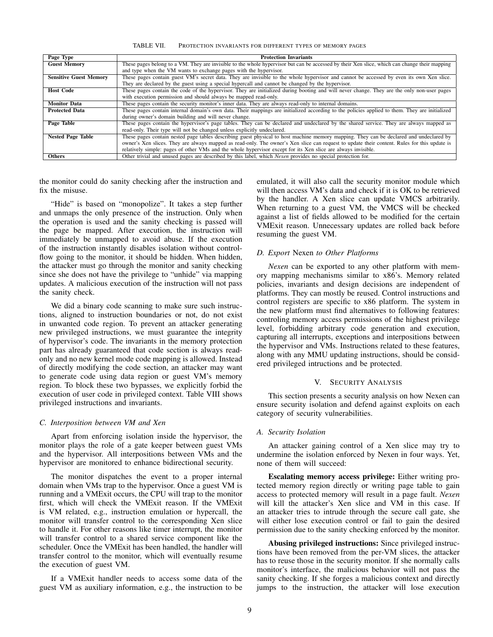TABLE VII. PROTECTION INVARIANTS FOR DIFFERENT TYPES OF MEMORY PAGES

| Page Type                     | <b>Protection Invariants</b>                                                                                                                   |
|-------------------------------|------------------------------------------------------------------------------------------------------------------------------------------------|
| <b>Guest Memory</b>           | These pages belong to a VM. They are invisible to the whole hypervisor but can be accessed by their Xen slice, which can change their mapping  |
|                               | and type when the VM wants to exchange pages with the hypervisor.                                                                              |
| <b>Sensitive Guest Memory</b> | These pages contain guest VM's secret data. They are invisible to the whole hypervisor and cannot be accessed by even its own Xen slice.       |
|                               | They are declared by the guest using a special hypercall and cannot be changed by the hypervisor.                                              |
| <b>Host Code</b>              | These pages contain the code of the hypervisor. They are initialized during booting and will never change. They are the only non-user pages    |
|                               | with execution permission and should always be mapped read-only.                                                                               |
| <b>Monitor Data</b>           | These pages contain the security monitor's inner data. They are always read-only to internal domains.                                          |
| <b>Protected Data</b>         | These pages contain internal domain's own data. Their mappings are initialized according to the policies applied to them. They are initialized |
|                               | during owner's domain building and will never change.                                                                                          |
| Page Table                    | These pages contain the hypervisor's page tables. They can be declared and undeclared by the shared service. They are always mapped as         |
|                               | read-only. Their type will not be changed unless explicitly undeclared.                                                                        |
| <b>Nested Page Table</b>      | These pages contain nested page tables describing guest physical to host machine memory mapping. They can be declared and undeclared by        |
|                               | owner's Xen slices. They are always mapped as read-only. The owner's Xen slice can request to update their content. Rules for this update is   |
|                               | relatively simple: pages of other VMs and the whole hypervisor except for its Xen slice are always invisible.                                  |
| <b>Others</b>                 | Other trivial and unused pages are described by this label, which <i>Nexen</i> provides no special protection for.                             |

the monitor could do sanity checking after the instruction and fix the misuse.

"Hide" is based on "monopolize". It takes a step further and unmaps the only presence of the instruction. Only when the operation is used and the sanity checking is passed will the page be mapped. After execution, the instruction will immediately be unmapped to avoid abuse. If the execution of the instruction instantly disables isolation without controlflow going to the monitor, it should be hidden. When hidden, the attacker must go through the monitor and sanity checking since she does not have the privilege to "unhide" via mapping updates. A malicious execution of the instruction will not pass the sanity check.

We did a binary code scanning to make sure such instructions, aligned to instruction boundaries or not, do not exist in unwanted code region. To prevent an attacker generating new privileged instructions, we must guarantee the integrity of hypervisor's code. The invariants in the memory protection part has already guaranteed that code section is always readonly and no new kernel mode code mapping is allowed. Instead of directly modifying the code section, an attacker may want to generate code using data region or guest VM's memory region. To block these two bypasses, we explicitly forbid the execution of user code in privileged context. Table VIII shows privileged instructions and invariants.

## *C. Interposition between VM and Xen*

Apart from enforcing isolation inside the hypervisor, the monitor plays the role of a gate keeper between guest VMs and the hypervisor. All interpositions between VMs and the hypervisor are monitored to enhance bidirectional security.

The monitor dispatches the event to a proper internal domain when VMs trap to the hypervisor. Once a guest VM is running and a VMExit occurs, the CPU will trap to the monitor first, which will check the VMExit reason. If the VMExit is VM related, e.g., instruction emulation or hypercall, the monitor will transfer control to the corresponding Xen slice to handle it. For other reasons like timer interrupt, the monitor will transfer control to a shared service component like the scheduler. Once the VMExit has been handled, the handler will transfer control to the monitor, which will eventually resume the execution of guest VM.

If a VMExit handler needs to access some data of the guest VM as auxiliary information, e.g., the instruction to be emulated, it will also call the security monitor module which will then access VM's data and check if it is OK to be retrieved by the handler. A Xen slice can update VMCS arbitrarily. When returning to a guest VM, the VMCS will be checked against a list of fields allowed to be modified for the certain VMExit reason. Unnecessary updates are rolled back before resuming the guest VM.

# *D. Export* Nexen *to Other Platforms*

*Nexen* can be exported to any other platform with memory mapping mechanisms similar to x86's. Memory related policies, invariants and design decisions are independent of platforms. They can mostly be reused. Control instructions and control registers are specific to x86 platform. The system in the new platform must find alternatives to following features: controling memory access permissions of the highest privilege level, forbidding arbitrary code generation and execution, capturing all interrupts, exceptions and interpositions between the hypervisor and VMs. Instructions related to these features, along with any MMU updating instructions, should be considered privileged intructions and be protected.

#### V. SECURITY ANALYSIS

This section presents a security analysis on how Nexen can ensure security isolation and defend against exploits on each category of security vulnerabilities.

#### *A. Security Isolation*

An attacker gaining control of a Xen slice may try to undermine the isolation enforced by Nexen in four ways. Yet, none of them will succeed:

Escalating memory access privilege: Either writing protected memory region directly or writing page table to gain access to protected memory will result in a page fault. *Nexen* will kill the attacker's Xen slice and VM in this case. If an attacker tries to intrude through the secure call gate, she will either lose execution control or fail to gain the desired permission due to the sanity checking enforced by the monitor.

Abusing privileged instructions: Since privileged instructions have been removed from the per-VM slices, the attacker has to reuse those in the security monitor. If she normally calls monitor's interface, the malicious behavior will not pass the sanity checking. If she forges a malicious context and directly jumps to the instruction, the attacker will lose execution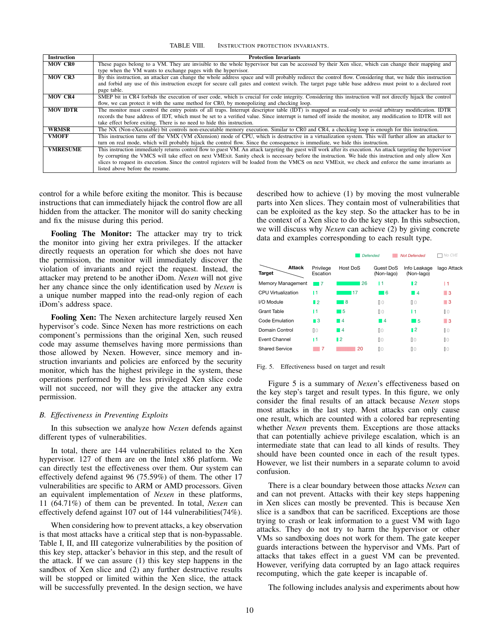TABLE VIII. INSTRUCTION PROTECTION INVARIANTS.

| <b>Instruction</b> | <b>Protection Invariants</b>                                                                                                                                   |
|--------------------|----------------------------------------------------------------------------------------------------------------------------------------------------------------|
| <b>MOV CR0</b>     | These pages belong to a VM. They are invisible to the whole hypervisor but can be accessed by their Xen slice, which can change their mapping and              |
|                    | type when the VM wants to exchange pages with the hypervisor.                                                                                                  |
| <b>MOV CR3</b>     | By this instruction, an attacker can change the whole address space and will probably redirect the control flow. Considering that, we hide this instruction    |
|                    | and forbid any use of this instruction except for secure call gates and context switch. The target page table base address must point to a declared root       |
|                    | page table.                                                                                                                                                    |
| <b>MOV CR4</b>     | SMEP bit in CR4 forbids the execution of user code, which is crucial for code integrity. Considering this instruction will not directly hijack the control     |
|                    | flow, we can protect it with the same method for CRO, by monopolizing and checking loop.                                                                       |
| <b>MOV IDTR</b>    | The monitor must control the entry points of all traps. Interrupt descriptor table (IDT) is mapped as read-only to avoid arbitrary modification. IDTR          |
|                    | records the base address of IDT, which must be set to a verified value. Since interrupt is turned off inside the monitor, any modification to IDTR will not    |
|                    | take effect before exiting. There is no need to hide this instruction.                                                                                         |
| <b>WRMSR</b>       | The NX (Non-eXecutable) bit controls non-executable memory execution. Similar to CR0 and CR4, a checking loop is enough for this instruction.                  |
| <b>VMOFF</b>       | This instruction turns off the VMX (VM eXtension) mode of CPU, which is destructive in a virtualization system. This will further allow an attacker to         |
|                    | turn on real mode, which will probably hijack the control flow. Since the consequence is immediate, we hide this instruction.                                  |
| <b>VMRESUME</b>    | This instruction immediately returns control flow to guest VM. An attack targeting the guest will work after its execution. An attack targeting the hypervisor |
|                    | by corrupting the VMCS will take effect on next VMExit. Sanity check is necessary before the instruction. We hide this instruction and only allow Xen          |
|                    | slices to request its execution. Since the control registers will be loaded from the VMCS on next VMExit, we check and enforce the same invariants as          |
|                    | listed above before the resume.                                                                                                                                |

control for a while before exiting the monitor. This is because instructions that can immediately hijack the control flow are all hidden from the attacker. The monitor will do sanity checking and fix the misuse during this period.

Fooling The Monitor: The attacker may try to trick the monitor into giving her extra privileges. If the attacker directly requests an operation for which she does not have the permission, the monitor will immediately discover the violation of invariants and reject the request. Instead, the attacker may pretend to be another iDom. *Nexen* will not give her any chance since the only identification used by *Nexen* is a unique number mapped into the read-only region of each iDom's address space.

Fooling Xen: The Nexen architecture largely reused Xen hypervisor's code. Since Nexen has more restrictions on each component's permissions than the original Xen, such reused code may assume themselves having more permissions than those allowed by Nexen. However, since memory and instruction invariants and policies are enforced by the security monitor, which has the highest privilege in the system, these operations performed by the less privileged Xen slice code will not succeed, nor will they give the attacker any extra permission.

## *B. Effectiveness in Preventing Exploits*

In this subsection we analyze how *Nexen* defends against different types of vulnerabilities.

In total, there are 144 vulnerabilities related to the Xen hypervisor. 127 of them are on the Intel x86 platform. We can directly test the effectiveness over them. Our system can effectively defend against 96 (75.59%) of them. The other 17 vulnerabilities are specific to ARM or AMD processors. Given an equivalent implementation of *Nexen* in these platforms, 11 (64.71%) of them can be prevented. In total, *Nexen* can effectively defend against 107 out of 144 vulnerabilities(74%).

When considering how to prevent attacks, a key observation is that most attacks have a critical step that is non-bypassable. Table I, II, and III categorize vulnerabilities by the position of this key step, attacker's behavior in this step, and the result of the attack. If we can assure (1) this key step happens in the sandbox of Xen slice and (2) any further destructive results will be stopped or limited within the Xen slice, the attack will be successfully prevented. In the design section, we have described how to achieve (1) by moving the most vulnerable parts into Xen slices. They contain most of vulnerabilities that can be exploited as the key step. So the attacker has to be in the context of a Xen slice to do the key step. In this subsection, we will discuss why *Nexen* can achieve (2) by giving concrete data and examples corresponding to each result type.

|                           |                       |                | <b>Defended</b>              | <b>Not Defended</b>        | No CVE         |
|---------------------------|-----------------------|----------------|------------------------------|----------------------------|----------------|
| <b>Attack</b><br>Target   | Privilege<br>Escation | Host DoS       | Guest DoS<br>(Non-lago)      | Info Leakage<br>(Non-lago) | lago Attack    |
| Memory Management         | 17                    | 26             | 11                           | ∎2                         | 11             |
| <b>CPU Virtualization</b> | I1                    | 17             | 16<br><b>Service Service</b> | $\blacksquare$             | ■ 3            |
| I/O Module                | $\blacksquare$ 2      | 8              | 0 <sup>0</sup>               | $\mathbb{I}$ 0             | ■ 3            |
| Grant Table               | I1                    | - 5            | 0 <sup>0</sup>               | 11                         | 0 <sup>0</sup> |
| Code Emulation            | $\blacksquare$ 3      | ■ 4            | - 14                         | l 5                        | ■ 3            |
| Domain Control            | $\mathbb{R}$ 0        | ■ 4            | 0 <sup>0</sup>               | $\blacksquare$             | 00             |
| Event Channel             | 11                    | $\blacksquare$ | 0 <sup>0</sup>               | $\mathbb{I}$ 0             | 00             |
| <b>Shared Service</b>     | 7                     | 20             | 0 <sup>0</sup>               | 00                         | 00             |

#### Fig. 5. Effectiveness based on target and result

Figure 5 is a summary of *Nexen*'s effectiveness based on the key step's target and result types. In this figure, we only consider the final results of an attack because *Nexen* stops most attacks in the last step. Most attacks can only cause one result, which are counted with a colored bar representing whether *Nexen* prevents them. Exceptions are those attacks that can potentially achieve privilege escalation, which is an intermediate state that can lead to all kinds of results. They should have been counted once in each of the result types. However, we list their numbers in a separate column to avoid confusion.

There is a clear boundary between those attacks *Nexen* can and can not prevent. Attacks with their key steps happening in Xen slices can mostly be prevented. This is because Xen slice is a sandbox that can be sacrificed. Exceptions are those trying to crash or leak information to a guest VM with Iago attacks. They do not try to harm the hypervisor or other VMs so sandboxing does not work for them. The gate keeper guards interactions between the hypervisor and VMs. Part of attacks that takes effect in a guest VM can be prevented. However, verifying data corrupted by an Iago attack requires recomputing, which the gate keeper is incapable of.

The following includes analysis and experiments about how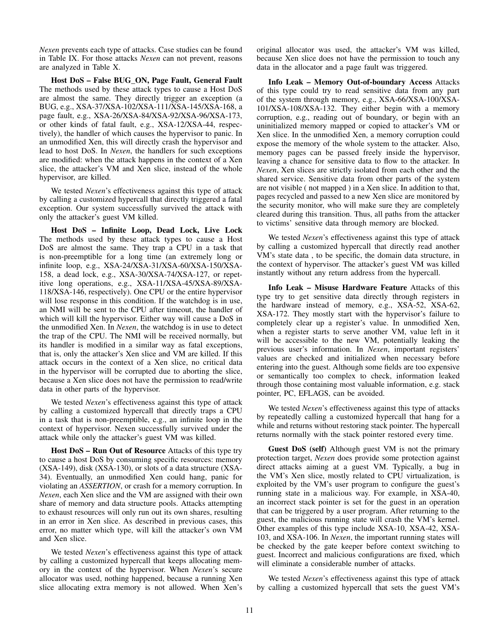*Nexen* prevents each type of attacks. Case studies can be found in Table IX. For those attacks *Nexen* can not prevent, reasons are analyzed in Table X.

Host DoS – False BUG\_ON, Page Fault, General Fault The methods used by these attack types to cause a Host DoS are almost the same. They directly trigger an exception (a BUG, e.g., XSA-37/XSA-102/XSA-111/XSA-145/XSA-168, a page fault, e.g., XSA-26/XSA-84/XSA-92/XSA-96/XSA-173, or other kinds of fatal fault, e.g., XSA-12/XSA-44, respectively), the handler of which causes the hypervisor to panic. In an unmodified Xen, this will directly crash the hypervisor and lead to host DoS. In *Nexen*, the handlers for such exceptions are modified: when the attack happens in the context of a Xen slice, the attacker's VM and Xen slice, instead of the whole hypervisor, are killed.

We tested *Nexen*'s effectiveness against this type of attack by calling a customized hypercall that directly triggered a fatal exception. Our system successfully survived the attack with only the attacker's guest VM killed.

Host DoS – Infinite Loop, Dead Lock, Live Lock The methods used by these attack types to cause a Host DoS are almost the same. They trap a CPU in a task that is non-preemptible for a long time (an extremely long or infinite loop, e.g., XSA-24/XSA-31/XSA-60/XSA-150/XSA-158, a dead lock, e.g., XSA-30/XSA-74/XSA-127, or repetitive long operations, e.g., XSA-11/XSA-45/XSA-89/XSA-118/XSA-146, respectively). One CPU or the entire hypervisor will lose response in this condition. If the watchdog is in use, an NMI will be sent to the CPU after timeout, the handler of which will kill the hypervisor. Either way will cause a DoS in the unmodified Xen. In *Nexen*, the watchdog is in use to detect the trap of the CPU. The NMI will be received normally, but its handler is modified in a similar way as fatal exceptions, that is, only the attacker's Xen slice and VM are killed. If this attack occurs in the context of a Xen slice, no critical data in the hypervisor will be corrupted due to aborting the slice, because a Xen slice does not have the permission to read/write data in other parts of the hypervisor.

We tested *Nexen*'s effectiveness against this type of attack by calling a customized hypercall that directly traps a CPU in a task that is non-preemptible, e.g., an infinite loop in the context of hypervisor. Nexen successfully survived under the attack while only the attacker's guest VM was killed.

Host DoS – Run Out of Resource Attacks of this type try to cause a host DoS by consuming specific resources: memory (XSA-149), disk (XSA-130), or slots of a data structure (XSA-34). Eventually, an unmodified Xen could hang, panic for violating an *ASSERTION*, or crash for a memory corruption. In *Nexen*, each Xen slice and the VM are assigned with their own share of memory and data structure pools. Attacks attempting to exhaust resources will only run out its own shares, resulting in an error in Xen slice. As described in previous cases, this error, no matter which type, will kill the attacker's own VM and Xen slice.

We tested *Nexen*'s effectiveness against this type of attack by calling a customized hypercall that keeps allocating memory in the context of the hypervisor. When *Nexen*'s secure allocator was used, nothing happened, because a running Xen slice allocating extra memory is not allowed. When Xen's original allocator was used, the attacker's VM was killed, because Xen slice does not have the permission to touch any data in the allocator and a page fault was triggered.

Info Leak – Memory Out-of-boundary Access Attacks of this type could try to read sensitive data from any part of the system through memory, e.g., XSA-66/XSA-100/XSA-101/XSA-108/XSA-132. They either begin with a memory corruption, e.g., reading out of boundary, or begin with an uninitialized memory mapped or copied to attacker's VM or Xen slice. In the unmodified Xen, a memory corruption could expose the memory of the whole system to the attacker. Also, memory pages can be passed freely inside the hypervisor, leaving a chance for sensitive data to flow to the attacker. In *Nexen*, Xen slices are strictly isolated from each other and the shared service. Sensitive data from other parts of the system are not visible ( not mapped ) in a Xen slice. In addition to that, pages recycled and passed to a new Xen slice are monitored by the security monitor, who will make sure they are completely cleared during this transition. Thus, all paths from the attacker to victims' sensitive data through memory are blocked.

We tested *Nexen*'s effectiveness against this type of attack by calling a customized hypercall that directly read another VM's state data , to be specific, the domain data structure, in the context of hypervisor. The attacker's guest VM was killed instantly without any return address from the hypercall.

Info Leak – Misuse Hardware Feature Attacks of this type try to get sensitive data directly through registers in the hardware instead of memory, e.g., XSA-52, XSA-62, XSA-172. They mostly start with the hypervisor's failure to completely clear up a register's value. In unmodified Xen, when a register starts to serve another VM, value left in it will be accessible to the new VM, potentially leaking the previous user's information. In *Nexen*, important registers' values are checked and initialized when necessary before entering into the guest. Although some fields are too expensive or semantically too complex to check, information leaked through those containing most valuable information, e.g. stack pointer, PC, EFLAGS, can be avoided.

We tested *Nexen*'s effectiveness against this type of attacks by repeatedly calling a customized hypercall that hang for a while and returns without restoring stack pointer. The hypercall returns normally with the stack pointer restored every time.

Guest DoS (self) Although guest VM is not the primary protection target, *Nexen* does provide some protection against direct attacks aiming at a guest VM. Typically, a bug in the VM's Xen slice, mostly related to CPU virtualization, is exploited by the VM's user program to configure the guest's running state in a malicious way. For example, in XSA-40, an incorrect stack pointer is set for the guest in an operation that can be triggered by a user program. After returning to the guest, the malicious running state will crash the VM's kernel. Other examples of this type include XSA-10, XSA-42, XSA-103, and XSA-106. In *Nexen*, the important running states will be checked by the gate keeper before context switching to guest. Incorrect and malicious configurations are fixed, which will eliminate a considerable number of attacks.

We tested *Nexen*'s effectiveness against this type of attack by calling a customized hypercall that sets the guest VM's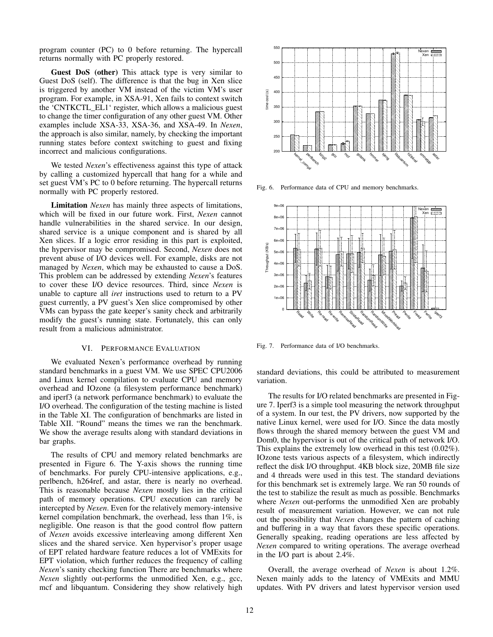program counter (PC) to 0 before returning. The hypercall returns normally with PC properly restored.

Guest DoS (other) This attack type is very similar to Guest DoS (self). The difference is that the bug in Xen slice is triggered by another VM instead of the victim VM's user program. For example, in XSA-91, Xen fails to context switch the 'CNTKCTL\_EL1' register, which allows a malicious guest to change the timer configuration of any other guest VM. Other examples include XSA-33, XSA-36, and XSA-49. In *Nexen*, the approach is also similar, namely, by checking the important running states before context switching to guest and fixing incorrect and malicious configurations.

We tested *Nexen*'s effectiveness against this type of attack by calling a customized hypercall that hang for a while and set guest VM's PC to 0 before returning. The hypercall returns normally with PC properly restored.

Limitation *Nexen* has mainly three aspects of limitations, which will be fixed in our future work. First, *Nexen* cannot handle vulnerabilities in the shared service. In our design, shared service is a unique component and is shared by all Xen slices. If a logic error residing in this part is exploited, the hypervisor may be compromised. Second, *Nexen* does not prevent abuse of I/O devices well. For example, disks are not managed by *Nexen*, which may be exhausted to cause a DoS. This problem can be addressed by extending *Nexen*'s features to cover these I/O device resources. Third, since *Nexen* is unable to capture all *iret* instructions used to return to a PV guest currently, a PV guest's Xen slice compromised by other VMs can bypass the gate keeper's sanity check and arbitrarily modify the guest's running state. Fortunately, this can only result from a malicious administrator.

#### VI. PERFORMANCE EVALUATION

We evaluated Nexen's performance overhead by running standard benchmarks in a guest VM. We use SPEC CPU2006 and Linux kernel compilation to evaluate CPU and memory overhead and IOzone (a filesystem performance benchmark) and iperf3 (a network performance benchmark) to evaluate the I/O overhead. The configuration of the testing machine is listed in the Table XI. The configuration of benchmarks are listed in Table XII. "Round" means the times we ran the benchmark. We show the average results along with standard deviations in bar graphs.

The results of CPU and memory related benchmarks are presented in Figure 6. The Y-axis shows the running time of benchmarks. For purely CPU-intensive applications, e.g., perlbench, h264ref, and astar, there is nearly no overhead. This is reasonable because *Nexen* mostly lies in the critical path of memory operations. CPU execution can rarely be intercepted by *Nexen*. Even for the relatively memory-intensive kernel compilation benchmark, the overhead, less than 1%, is negligible. One reason is that the good control flow pattern of *Nexen* avoids excessive interleaving among different Xen slices and the shared service. Xen hypervisor's proper usage of EPT related hardware feature reduces a lot of VMExits for EPT violation, which further reduces the frequency of calling *Nexen*'s sanity checking function There are benchmarks where *Nexen* slightly out-performs the unmodified Xen, e.g., gcc, mcf and libquantum. Considering they show relatively high



Fig. 6. Performance data of CPU and memory benchmarks.



Fig. 7. Performance data of I/O benchmarks.

standard deviations, this could be attributed to measurement variation.

The results for I/O related benchmarks are presented in Figure 7. Iperf3 is a simple tool measuring the network throughput of a system. In our test, the PV drivers, now supported by the native Linux kernel, were used for I/O. Since the data mostly flows through the shared memory between the guest VM and Dom0, the hypervisor is out of the critical path of network I/O. This explains the extremely low overhead in this test (0.02%). IOzone tests various aspects of a filesystem, which indirectly reflect the disk I/O throughput. 4KB block size, 20MB file size and 4 threads were used in this test. The standard deviations for this benchmark set is extremely large. We ran 50 rounds of the test to stabilize the result as much as possible. Benchmarks where *Nexen* out-performs the unmodified Xen are probably result of measurement variation. However, we can not rule out the possibility that *Nexen* changes the pattern of caching and buffering in a way that favors these specific operations. Generally speaking, reading operations are less affected by *Nexen* compared to writing operations. The average overhead in the I/O part is about 2.4%.

Overall, the average overhead of *Nexen* is about 1.2%. Nexen mainly adds to the latency of VMExits and MMU updates. With PV drivers and latest hypervisor version used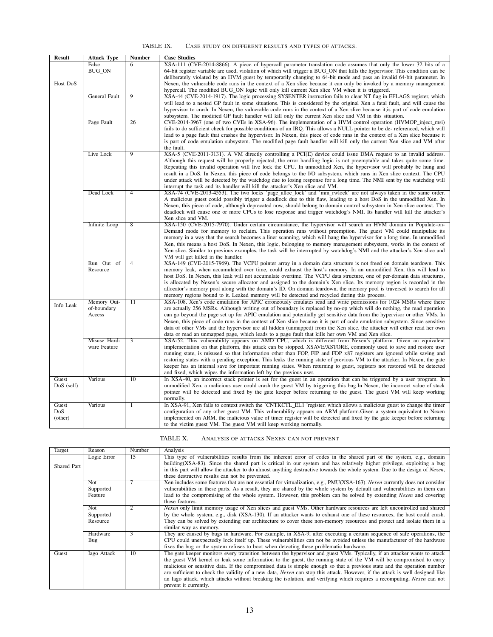## TABLE IX. CASE STUDY ON DIFFERENT RESULTS AND TYPES OF ATTACKS.

| XSA-111 (CVE-2014-8866). A piece of hypercall parameter translation code assumes that only the lower 32 bits of a<br>False<br>6<br><b>BUG_ON</b><br>64-bit register variable are used, violation of which will trigger a BUG_ON that kills the hypervisor. This condition can be<br>deliberately violated by an HVM guest by temporarily changing to 64-bit mode and pass an invalid 64-bit parameter. In<br>Host DoS<br>Nexen, the vulnerable code runs in the context of a Xen slice because it can only be invoked by a memory management<br>hypercall. The modified BUG_ON logic will only kill current Xen slice VM when it is triggered.<br>General Fault<br>9<br>XSA-44 (CVE-2014-1917). The logic processing SYSENTER instruction fails to clear NT flag in EFLAGS register, which<br>will lead to a nested GP fault in some situations. This is considered by the original Xen a fatal fault, and will cause the<br>hypervisor to crash. In Nexen, the vulnerable code runs in the context of a Xen slice because it, is part of code emulation<br>subsystem. The modified GP fault handler will kill only the current Xen slice and VM in this situation.<br>26<br>CVE-2014-3967 (one of two CVEs in XSA-96). The implementation of a HVM control operation (HVMOP inject msi)<br>Page Fault<br>fails to do sufficient check for possible conditions of an IRQ. This allows a NULL pointer to be de-referenced, which will<br>lead to a page fault that crashes the hypervisor. In Nexen, this piece of code runs in the context of a Xen slice because it<br>is part of code emulation subsystem. The modified page fault handler will kill only the current Xen slice and VM after<br>the fault.<br>Live Lock<br>9<br>XSA-5 (CVE-2011-3131). A VM directly controlling a PCI(E) device could issue DMA request to an invalid address.<br>Although this request will be properly rejected, the error handling logic is not preemptable and takes quite some time.<br>Repeating this invalid operation will live lock the CPU. In unmodified Xen, the hypervisor will probably be hung and<br>result in a DoS. In Nexen, this piece of code belongs to the I/O subsystem, which runs in Xen slice context. The CPU<br>under attack will be detected by the watchdog due to losing response for a long time. The NMI sent by the watchdog will<br>interrupt the task and its handler will kill the attacker's Xen slice and VM.<br>Dead Lock<br>4<br>XSA-74 (CVE-2013-4553). The two locks 'page_alloc_lock' and 'mm_rwlock' are not always taken in the same order.<br>A malicious guest could possibly trigger a deadlock due to this flaw, leading to a host DoS in the unmodified Xen. In<br>Nexen, this piece of code, although deprecated now, should belong to domain control subsystem in Xen slice context. The<br>deadlock will cause one or more CPUs to lose response and trigger watchdog's NMI. Its handler will kill the attacker's<br>Xen slice and VM.<br>Infinite Loop<br>XSA-150 (CVE-2015-7970). Under certain circumstance, the hypervisor will search an HVM domain in Populate-on-<br>8<br>Demand mode for memory to reclaim. This operation runs without preemption. The guest VM could manipulate its<br>memory in a way that the search becomes a liner scanning, which will hang the hypervisor for a long time. In unmodified<br>Xen, this means a host DoS. In Nexen, this logic, belonging to memory management subsystem, works in the context of<br>Xen slice. Similar to previous examples, the task will be interrupted by watchdog's NMI and the attacker's Xen slice and<br>VM will get killed in the handler.<br>XSA-149 (CVE-2015-7969). The VCPU pointer array in a domain data structure is not freed on domain teardown. This<br>Run Out of<br>4<br>Resource<br>memory leak, when accumulated over time, could exhaust the host's memory. In an unmodified Xen, this will lead to<br>host DoS. In Nexen, this leak will not accumulate overtime. The VCPU data structure, one of per-domain data structures,<br>is allocated by Nexen's secure allocator and assigned to the domain's Xen slice. Its memory region is recorded in the<br>allocator's memory pool along with the domain's ID. On domain teardown, the memory pool is traversed to search for all<br>memory regions bound to it. Leaked memory will be detected and recycled during this process.<br>Memory Out-<br>11<br>XSA-108. Xen's code emulation for APIC erroneously emulates read and write permissions for 1024 MSRs where there<br>Info Leak<br>are actually 256 MSRs. Although writing out of boundary is replaced by no-op which will do nothing, the read operation<br>of-boundary<br>can go beyond the page set up for APIC emulation and potentially get sensitive data from the hypervisor or other VMs. In<br>Access<br>Nexen, this piece of code runs in the context of Xen slice because it is part of code emulation subsystem. Since sensitive<br>data of other VMs and the hypervisor are all hidden (unmapped) from the Xen slice, the attacker will either read her own<br>data or read an unmapped page, which leads to a page fault that kills her own VM and Xen slice.<br>Misuse Hard-<br>XSA-52. This vulnerability appears on AMD CPU, which is different from Nexen's platform. Given an equivalent<br>3<br>ware Feature<br>implementation on that platform, this attack can be stopped. XSAVE/XSTORE, commonly used to save and restore user<br>running state, is misused so that information other than FOP, FIP and FDP x87 registers are ignored while saving and<br>restoring states with a pending exception. This leaks the running state of previous VM to the attacker. In Nexen, the gate<br>keeper has an internal save for important running states. When returning to guest, registers not restored will be detected<br>and fixed, which wipes the information left by the previous user.<br>10<br>In XSA-40, an incorrect stack pointer is set for the guest in an operation that can be triggered by a user program. In<br>Various<br>Guest<br>$DoS$ (self)<br>unmodified Xen, a malicious user could crash the guest VM by triggering this bug. In Nexen, the incorrect value of stack<br>pointer will be detected and fixed by the gate keeper before returning to the guest. The guest VM will keep working<br>normally.<br>Guest<br>In XSA-91, Xen fails to context switch the 'CNTKCTL_EL1' register, which allows a malicious guest to change the timer<br>Various<br>1<br>DoS<br>configuration of any other guest VM. This vulnerability appears on ARM platform. Given a system equivalent to Nexen<br>(other)<br>implemented on ARM, the malicious value of timer register will be detected and fixed by the gate keeper before returning<br>to the victim guest VM. The guest VM will keep working normally. | <b>Result</b> | <b>Attack Type</b> | <b>Number</b> | <b>Case Studies</b> |
|---------------------------------------------------------------------------------------------------------------------------------------------------------------------------------------------------------------------------------------------------------------------------------------------------------------------------------------------------------------------------------------------------------------------------------------------------------------------------------------------------------------------------------------------------------------------------------------------------------------------------------------------------------------------------------------------------------------------------------------------------------------------------------------------------------------------------------------------------------------------------------------------------------------------------------------------------------------------------------------------------------------------------------------------------------------------------------------------------------------------------------------------------------------------------------------------------------------------------------------------------------------------------------------------------------------------------------------------------------------------------------------------------------------------------------------------------------------------------------------------------------------------------------------------------------------------------------------------------------------------------------------------------------------------------------------------------------------------------------------------------------------------------------------------------------------------------------------------------------------------------------------------------------------------------------------------------------------------------------------------------------------------------------------------------------------------------------------------------------------------------------------------------------------------------------------------------------------------------------------------------------------------------------------------------------------------------------------------------------------------------------------------------------------------------------------------------------------------------------------------------------------------------------------------------------------------------------------------------------------------------------------------------------------------------------------------------------------------------------------------------------------------------------------------------------------------------------------------------------------------------------------------------------------------------------------------------------------------------------------------------------------------------------------------------------------------------------------------------------------------------------------------------------------------------------------------------------------------------------------------------------------------------------------------------------------------------------------------------------------------------------------------------------------------------------------------------------------------------------------------------------------------------------------------------------------------------------------------------------------------------------------------------------------------------------------------------------------------------------------------------------------------------------------------------------------------------------------------------------------------------------------------------------------------------------------------------------------------------------------------------------------------------------------------------------------------------------------------------------------------------------------------------------------------------------------------------------------------------------------------------------------------------------------------------------------------------------------------------------------------------------------------------------------------------------------------------------------------------------------------------------------------------------------------------------------------------------------------------------------------------------------------------------------------------------------------------------------------------------------------------------------------------------------------------------------------------------------------------------------------------------------------------------------------------------------------------------------------------------------------------------------------------------------------------------------------------------------------------------------------------------------------------------------------------------------------------------------------------------------------------------------------------------------------------------------------------------------------------------------------------------------------------------------------------------------------------------------------------------------------------------------------------------------------------------------------------------------------------------------------------------------------------------------------------------------------------------------------------------------------------------------------------------------------------------------------------------------------------------------------------------------------------------------------------------------------------------------------------------------------------------------------------------------------------------------------------------------------------------------------------------------------------------------------------------------------------------------------------------------------------------------------------------------------------------------------------------------------------------------------------------------------------------------------------------------------------------------------------------------------------------------------------------------------------------------------------------------------------------------------------------------------------------------------------------------------------------------------------------------------------------------------------------------------------------------------------------------------------------------------------------------|---------------|--------------------|---------------|---------------------|
|                                                                                                                                                                                                                                                                                                                                                                                                                                                                                                                                                                                                                                                                                                                                                                                                                                                                                                                                                                                                                                                                                                                                                                                                                                                                                                                                                                                                                                                                                                                                                                                                                                                                                                                                                                                                                                                                                                                                                                                                                                                                                                                                                                                                                                                                                                                                                                                                                                                                                                                                                                                                                                                                                                                                                                                                                                                                                                                                                                                                                                                                                                                                                                                                                                                                                                                                                                                                                                                                                                                                                                                                                                                                                                                                                                                                                                                                                                                                                                                                                                                                                                                                                                                                                                                                                                                                                                                                                                                                                                                                                                                                                                                                                                                                                                                                                                                                                                                                                                                                                                                                                                                                                                                                                                                                                                                                                                                                                                                                                                                                                                                                                                                                                                                                                                                                                                                                                                                                                                                                                                                                                                                                                                                                                                                                                                                                                                                                                                                                                                                                                                                                                                                                                                                                                                                                                                                                                       |               |                    |               |                     |
|                                                                                                                                                                                                                                                                                                                                                                                                                                                                                                                                                                                                                                                                                                                                                                                                                                                                                                                                                                                                                                                                                                                                                                                                                                                                                                                                                                                                                                                                                                                                                                                                                                                                                                                                                                                                                                                                                                                                                                                                                                                                                                                                                                                                                                                                                                                                                                                                                                                                                                                                                                                                                                                                                                                                                                                                                                                                                                                                                                                                                                                                                                                                                                                                                                                                                                                                                                                                                                                                                                                                                                                                                                                                                                                                                                                                                                                                                                                                                                                                                                                                                                                                                                                                                                                                                                                                                                                                                                                                                                                                                                                                                                                                                                                                                                                                                                                                                                                                                                                                                                                                                                                                                                                                                                                                                                                                                                                                                                                                                                                                                                                                                                                                                                                                                                                                                                                                                                                                                                                                                                                                                                                                                                                                                                                                                                                                                                                                                                                                                                                                                                                                                                                                                                                                                                                                                                                                                       |               |                    |               |                     |
|                                                                                                                                                                                                                                                                                                                                                                                                                                                                                                                                                                                                                                                                                                                                                                                                                                                                                                                                                                                                                                                                                                                                                                                                                                                                                                                                                                                                                                                                                                                                                                                                                                                                                                                                                                                                                                                                                                                                                                                                                                                                                                                                                                                                                                                                                                                                                                                                                                                                                                                                                                                                                                                                                                                                                                                                                                                                                                                                                                                                                                                                                                                                                                                                                                                                                                                                                                                                                                                                                                                                                                                                                                                                                                                                                                                                                                                                                                                                                                                                                                                                                                                                                                                                                                                                                                                                                                                                                                                                                                                                                                                                                                                                                                                                                                                                                                                                                                                                                                                                                                                                                                                                                                                                                                                                                                                                                                                                                                                                                                                                                                                                                                                                                                                                                                                                                                                                                                                                                                                                                                                                                                                                                                                                                                                                                                                                                                                                                                                                                                                                                                                                                                                                                                                                                                                                                                                                                       |               |                    |               |                     |
|                                                                                                                                                                                                                                                                                                                                                                                                                                                                                                                                                                                                                                                                                                                                                                                                                                                                                                                                                                                                                                                                                                                                                                                                                                                                                                                                                                                                                                                                                                                                                                                                                                                                                                                                                                                                                                                                                                                                                                                                                                                                                                                                                                                                                                                                                                                                                                                                                                                                                                                                                                                                                                                                                                                                                                                                                                                                                                                                                                                                                                                                                                                                                                                                                                                                                                                                                                                                                                                                                                                                                                                                                                                                                                                                                                                                                                                                                                                                                                                                                                                                                                                                                                                                                                                                                                                                                                                                                                                                                                                                                                                                                                                                                                                                                                                                                                                                                                                                                                                                                                                                                                                                                                                                                                                                                                                                                                                                                                                                                                                                                                                                                                                                                                                                                                                                                                                                                                                                                                                                                                                                                                                                                                                                                                                                                                                                                                                                                                                                                                                                                                                                                                                                                                                                                                                                                                                                                       |               |                    |               |                     |
|                                                                                                                                                                                                                                                                                                                                                                                                                                                                                                                                                                                                                                                                                                                                                                                                                                                                                                                                                                                                                                                                                                                                                                                                                                                                                                                                                                                                                                                                                                                                                                                                                                                                                                                                                                                                                                                                                                                                                                                                                                                                                                                                                                                                                                                                                                                                                                                                                                                                                                                                                                                                                                                                                                                                                                                                                                                                                                                                                                                                                                                                                                                                                                                                                                                                                                                                                                                                                                                                                                                                                                                                                                                                                                                                                                                                                                                                                                                                                                                                                                                                                                                                                                                                                                                                                                                                                                                                                                                                                                                                                                                                                                                                                                                                                                                                                                                                                                                                                                                                                                                                                                                                                                                                                                                                                                                                                                                                                                                                                                                                                                                                                                                                                                                                                                                                                                                                                                                                                                                                                                                                                                                                                                                                                                                                                                                                                                                                                                                                                                                                                                                                                                                                                                                                                                                                                                                                                       |               |                    |               |                     |
|                                                                                                                                                                                                                                                                                                                                                                                                                                                                                                                                                                                                                                                                                                                                                                                                                                                                                                                                                                                                                                                                                                                                                                                                                                                                                                                                                                                                                                                                                                                                                                                                                                                                                                                                                                                                                                                                                                                                                                                                                                                                                                                                                                                                                                                                                                                                                                                                                                                                                                                                                                                                                                                                                                                                                                                                                                                                                                                                                                                                                                                                                                                                                                                                                                                                                                                                                                                                                                                                                                                                                                                                                                                                                                                                                                                                                                                                                                                                                                                                                                                                                                                                                                                                                                                                                                                                                                                                                                                                                                                                                                                                                                                                                                                                                                                                                                                                                                                                                                                                                                                                                                                                                                                                                                                                                                                                                                                                                                                                                                                                                                                                                                                                                                                                                                                                                                                                                                                                                                                                                                                                                                                                                                                                                                                                                                                                                                                                                                                                                                                                                                                                                                                                                                                                                                                                                                                                                       |               |                    |               |                     |
|                                                                                                                                                                                                                                                                                                                                                                                                                                                                                                                                                                                                                                                                                                                                                                                                                                                                                                                                                                                                                                                                                                                                                                                                                                                                                                                                                                                                                                                                                                                                                                                                                                                                                                                                                                                                                                                                                                                                                                                                                                                                                                                                                                                                                                                                                                                                                                                                                                                                                                                                                                                                                                                                                                                                                                                                                                                                                                                                                                                                                                                                                                                                                                                                                                                                                                                                                                                                                                                                                                                                                                                                                                                                                                                                                                                                                                                                                                                                                                                                                                                                                                                                                                                                                                                                                                                                                                                                                                                                                                                                                                                                                                                                                                                                                                                                                                                                                                                                                                                                                                                                                                                                                                                                                                                                                                                                                                                                                                                                                                                                                                                                                                                                                                                                                                                                                                                                                                                                                                                                                                                                                                                                                                                                                                                                                                                                                                                                                                                                                                                                                                                                                                                                                                                                                                                                                                                                                       |               |                    |               |                     |
|                                                                                                                                                                                                                                                                                                                                                                                                                                                                                                                                                                                                                                                                                                                                                                                                                                                                                                                                                                                                                                                                                                                                                                                                                                                                                                                                                                                                                                                                                                                                                                                                                                                                                                                                                                                                                                                                                                                                                                                                                                                                                                                                                                                                                                                                                                                                                                                                                                                                                                                                                                                                                                                                                                                                                                                                                                                                                                                                                                                                                                                                                                                                                                                                                                                                                                                                                                                                                                                                                                                                                                                                                                                                                                                                                                                                                                                                                                                                                                                                                                                                                                                                                                                                                                                                                                                                                                                                                                                                                                                                                                                                                                                                                                                                                                                                                                                                                                                                                                                                                                                                                                                                                                                                                                                                                                                                                                                                                                                                                                                                                                                                                                                                                                                                                                                                                                                                                                                                                                                                                                                                                                                                                                                                                                                                                                                                                                                                                                                                                                                                                                                                                                                                                                                                                                                                                                                                                       |               |                    |               |                     |
|                                                                                                                                                                                                                                                                                                                                                                                                                                                                                                                                                                                                                                                                                                                                                                                                                                                                                                                                                                                                                                                                                                                                                                                                                                                                                                                                                                                                                                                                                                                                                                                                                                                                                                                                                                                                                                                                                                                                                                                                                                                                                                                                                                                                                                                                                                                                                                                                                                                                                                                                                                                                                                                                                                                                                                                                                                                                                                                                                                                                                                                                                                                                                                                                                                                                                                                                                                                                                                                                                                                                                                                                                                                                                                                                                                                                                                                                                                                                                                                                                                                                                                                                                                                                                                                                                                                                                                                                                                                                                                                                                                                                                                                                                                                                                                                                                                                                                                                                                                                                                                                                                                                                                                                                                                                                                                                                                                                                                                                                                                                                                                                                                                                                                                                                                                                                                                                                                                                                                                                                                                                                                                                                                                                                                                                                                                                                                                                                                                                                                                                                                                                                                                                                                                                                                                                                                                                                                       |               |                    |               |                     |
|                                                                                                                                                                                                                                                                                                                                                                                                                                                                                                                                                                                                                                                                                                                                                                                                                                                                                                                                                                                                                                                                                                                                                                                                                                                                                                                                                                                                                                                                                                                                                                                                                                                                                                                                                                                                                                                                                                                                                                                                                                                                                                                                                                                                                                                                                                                                                                                                                                                                                                                                                                                                                                                                                                                                                                                                                                                                                                                                                                                                                                                                                                                                                                                                                                                                                                                                                                                                                                                                                                                                                                                                                                                                                                                                                                                                                                                                                                                                                                                                                                                                                                                                                                                                                                                                                                                                                                                                                                                                                                                                                                                                                                                                                                                                                                                                                                                                                                                                                                                                                                                                                                                                                                                                                                                                                                                                                                                                                                                                                                                                                                                                                                                                                                                                                                                                                                                                                                                                                                                                                                                                                                                                                                                                                                                                                                                                                                                                                                                                                                                                                                                                                                                                                                                                                                                                                                                                                       |               |                    |               |                     |
|                                                                                                                                                                                                                                                                                                                                                                                                                                                                                                                                                                                                                                                                                                                                                                                                                                                                                                                                                                                                                                                                                                                                                                                                                                                                                                                                                                                                                                                                                                                                                                                                                                                                                                                                                                                                                                                                                                                                                                                                                                                                                                                                                                                                                                                                                                                                                                                                                                                                                                                                                                                                                                                                                                                                                                                                                                                                                                                                                                                                                                                                                                                                                                                                                                                                                                                                                                                                                                                                                                                                                                                                                                                                                                                                                                                                                                                                                                                                                                                                                                                                                                                                                                                                                                                                                                                                                                                                                                                                                                                                                                                                                                                                                                                                                                                                                                                                                                                                                                                                                                                                                                                                                                                                                                                                                                                                                                                                                                                                                                                                                                                                                                                                                                                                                                                                                                                                                                                                                                                                                                                                                                                                                                                                                                                                                                                                                                                                                                                                                                                                                                                                                                                                                                                                                                                                                                                                                       |               |                    |               |                     |
|                                                                                                                                                                                                                                                                                                                                                                                                                                                                                                                                                                                                                                                                                                                                                                                                                                                                                                                                                                                                                                                                                                                                                                                                                                                                                                                                                                                                                                                                                                                                                                                                                                                                                                                                                                                                                                                                                                                                                                                                                                                                                                                                                                                                                                                                                                                                                                                                                                                                                                                                                                                                                                                                                                                                                                                                                                                                                                                                                                                                                                                                                                                                                                                                                                                                                                                                                                                                                                                                                                                                                                                                                                                                                                                                                                                                                                                                                                                                                                                                                                                                                                                                                                                                                                                                                                                                                                                                                                                                                                                                                                                                                                                                                                                                                                                                                                                                                                                                                                                                                                                                                                                                                                                                                                                                                                                                                                                                                                                                                                                                                                                                                                                                                                                                                                                                                                                                                                                                                                                                                                                                                                                                                                                                                                                                                                                                                                                                                                                                                                                                                                                                                                                                                                                                                                                                                                                                                       |               |                    |               |                     |
|                                                                                                                                                                                                                                                                                                                                                                                                                                                                                                                                                                                                                                                                                                                                                                                                                                                                                                                                                                                                                                                                                                                                                                                                                                                                                                                                                                                                                                                                                                                                                                                                                                                                                                                                                                                                                                                                                                                                                                                                                                                                                                                                                                                                                                                                                                                                                                                                                                                                                                                                                                                                                                                                                                                                                                                                                                                                                                                                                                                                                                                                                                                                                                                                                                                                                                                                                                                                                                                                                                                                                                                                                                                                                                                                                                                                                                                                                                                                                                                                                                                                                                                                                                                                                                                                                                                                                                                                                                                                                                                                                                                                                                                                                                                                                                                                                                                                                                                                                                                                                                                                                                                                                                                                                                                                                                                                                                                                                                                                                                                                                                                                                                                                                                                                                                                                                                                                                                                                                                                                                                                                                                                                                                                                                                                                                                                                                                                                                                                                                                                                                                                                                                                                                                                                                                                                                                                                                       |               |                    |               |                     |
|                                                                                                                                                                                                                                                                                                                                                                                                                                                                                                                                                                                                                                                                                                                                                                                                                                                                                                                                                                                                                                                                                                                                                                                                                                                                                                                                                                                                                                                                                                                                                                                                                                                                                                                                                                                                                                                                                                                                                                                                                                                                                                                                                                                                                                                                                                                                                                                                                                                                                                                                                                                                                                                                                                                                                                                                                                                                                                                                                                                                                                                                                                                                                                                                                                                                                                                                                                                                                                                                                                                                                                                                                                                                                                                                                                                                                                                                                                                                                                                                                                                                                                                                                                                                                                                                                                                                                                                                                                                                                                                                                                                                                                                                                                                                                                                                                                                                                                                                                                                                                                                                                                                                                                                                                                                                                                                                                                                                                                                                                                                                                                                                                                                                                                                                                                                                                                                                                                                                                                                                                                                                                                                                                                                                                                                                                                                                                                                                                                                                                                                                                                                                                                                                                                                                                                                                                                                                                       |               |                    |               |                     |
|                                                                                                                                                                                                                                                                                                                                                                                                                                                                                                                                                                                                                                                                                                                                                                                                                                                                                                                                                                                                                                                                                                                                                                                                                                                                                                                                                                                                                                                                                                                                                                                                                                                                                                                                                                                                                                                                                                                                                                                                                                                                                                                                                                                                                                                                                                                                                                                                                                                                                                                                                                                                                                                                                                                                                                                                                                                                                                                                                                                                                                                                                                                                                                                                                                                                                                                                                                                                                                                                                                                                                                                                                                                                                                                                                                                                                                                                                                                                                                                                                                                                                                                                                                                                                                                                                                                                                                                                                                                                                                                                                                                                                                                                                                                                                                                                                                                                                                                                                                                                                                                                                                                                                                                                                                                                                                                                                                                                                                                                                                                                                                                                                                                                                                                                                                                                                                                                                                                                                                                                                                                                                                                                                                                                                                                                                                                                                                                                                                                                                                                                                                                                                                                                                                                                                                                                                                                                                       |               |                    |               |                     |
|                                                                                                                                                                                                                                                                                                                                                                                                                                                                                                                                                                                                                                                                                                                                                                                                                                                                                                                                                                                                                                                                                                                                                                                                                                                                                                                                                                                                                                                                                                                                                                                                                                                                                                                                                                                                                                                                                                                                                                                                                                                                                                                                                                                                                                                                                                                                                                                                                                                                                                                                                                                                                                                                                                                                                                                                                                                                                                                                                                                                                                                                                                                                                                                                                                                                                                                                                                                                                                                                                                                                                                                                                                                                                                                                                                                                                                                                                                                                                                                                                                                                                                                                                                                                                                                                                                                                                                                                                                                                                                                                                                                                                                                                                                                                                                                                                                                                                                                                                                                                                                                                                                                                                                                                                                                                                                                                                                                                                                                                                                                                                                                                                                                                                                                                                                                                                                                                                                                                                                                                                                                                                                                                                                                                                                                                                                                                                                                                                                                                                                                                                                                                                                                                                                                                                                                                                                                                                       |               |                    |               |                     |
|                                                                                                                                                                                                                                                                                                                                                                                                                                                                                                                                                                                                                                                                                                                                                                                                                                                                                                                                                                                                                                                                                                                                                                                                                                                                                                                                                                                                                                                                                                                                                                                                                                                                                                                                                                                                                                                                                                                                                                                                                                                                                                                                                                                                                                                                                                                                                                                                                                                                                                                                                                                                                                                                                                                                                                                                                                                                                                                                                                                                                                                                                                                                                                                                                                                                                                                                                                                                                                                                                                                                                                                                                                                                                                                                                                                                                                                                                                                                                                                                                                                                                                                                                                                                                                                                                                                                                                                                                                                                                                                                                                                                                                                                                                                                                                                                                                                                                                                                                                                                                                                                                                                                                                                                                                                                                                                                                                                                                                                                                                                                                                                                                                                                                                                                                                                                                                                                                                                                                                                                                                                                                                                                                                                                                                                                                                                                                                                                                                                                                                                                                                                                                                                                                                                                                                                                                                                                                       |               |                    |               |                     |
|                                                                                                                                                                                                                                                                                                                                                                                                                                                                                                                                                                                                                                                                                                                                                                                                                                                                                                                                                                                                                                                                                                                                                                                                                                                                                                                                                                                                                                                                                                                                                                                                                                                                                                                                                                                                                                                                                                                                                                                                                                                                                                                                                                                                                                                                                                                                                                                                                                                                                                                                                                                                                                                                                                                                                                                                                                                                                                                                                                                                                                                                                                                                                                                                                                                                                                                                                                                                                                                                                                                                                                                                                                                                                                                                                                                                                                                                                                                                                                                                                                                                                                                                                                                                                                                                                                                                                                                                                                                                                                                                                                                                                                                                                                                                                                                                                                                                                                                                                                                                                                                                                                                                                                                                                                                                                                                                                                                                                                                                                                                                                                                                                                                                                                                                                                                                                                                                                                                                                                                                                                                                                                                                                                                                                                                                                                                                                                                                                                                                                                                                                                                                                                                                                                                                                                                                                                                                                       |               |                    |               |                     |
|                                                                                                                                                                                                                                                                                                                                                                                                                                                                                                                                                                                                                                                                                                                                                                                                                                                                                                                                                                                                                                                                                                                                                                                                                                                                                                                                                                                                                                                                                                                                                                                                                                                                                                                                                                                                                                                                                                                                                                                                                                                                                                                                                                                                                                                                                                                                                                                                                                                                                                                                                                                                                                                                                                                                                                                                                                                                                                                                                                                                                                                                                                                                                                                                                                                                                                                                                                                                                                                                                                                                                                                                                                                                                                                                                                                                                                                                                                                                                                                                                                                                                                                                                                                                                                                                                                                                                                                                                                                                                                                                                                                                                                                                                                                                                                                                                                                                                                                                                                                                                                                                                                                                                                                                                                                                                                                                                                                                                                                                                                                                                                                                                                                                                                                                                                                                                                                                                                                                                                                                                                                                                                                                                                                                                                                                                                                                                                                                                                                                                                                                                                                                                                                                                                                                                                                                                                                                                       |               |                    |               |                     |
|                                                                                                                                                                                                                                                                                                                                                                                                                                                                                                                                                                                                                                                                                                                                                                                                                                                                                                                                                                                                                                                                                                                                                                                                                                                                                                                                                                                                                                                                                                                                                                                                                                                                                                                                                                                                                                                                                                                                                                                                                                                                                                                                                                                                                                                                                                                                                                                                                                                                                                                                                                                                                                                                                                                                                                                                                                                                                                                                                                                                                                                                                                                                                                                                                                                                                                                                                                                                                                                                                                                                                                                                                                                                                                                                                                                                                                                                                                                                                                                                                                                                                                                                                                                                                                                                                                                                                                                                                                                                                                                                                                                                                                                                                                                                                                                                                                                                                                                                                                                                                                                                                                                                                                                                                                                                                                                                                                                                                                                                                                                                                                                                                                                                                                                                                                                                                                                                                                                                                                                                                                                                                                                                                                                                                                                                                                                                                                                                                                                                                                                                                                                                                                                                                                                                                                                                                                                                                       |               |                    |               |                     |
|                                                                                                                                                                                                                                                                                                                                                                                                                                                                                                                                                                                                                                                                                                                                                                                                                                                                                                                                                                                                                                                                                                                                                                                                                                                                                                                                                                                                                                                                                                                                                                                                                                                                                                                                                                                                                                                                                                                                                                                                                                                                                                                                                                                                                                                                                                                                                                                                                                                                                                                                                                                                                                                                                                                                                                                                                                                                                                                                                                                                                                                                                                                                                                                                                                                                                                                                                                                                                                                                                                                                                                                                                                                                                                                                                                                                                                                                                                                                                                                                                                                                                                                                                                                                                                                                                                                                                                                                                                                                                                                                                                                                                                                                                                                                                                                                                                                                                                                                                                                                                                                                                                                                                                                                                                                                                                                                                                                                                                                                                                                                                                                                                                                                                                                                                                                                                                                                                                                                                                                                                                                                                                                                                                                                                                                                                                                                                                                                                                                                                                                                                                                                                                                                                                                                                                                                                                                                                       |               |                    |               |                     |
|                                                                                                                                                                                                                                                                                                                                                                                                                                                                                                                                                                                                                                                                                                                                                                                                                                                                                                                                                                                                                                                                                                                                                                                                                                                                                                                                                                                                                                                                                                                                                                                                                                                                                                                                                                                                                                                                                                                                                                                                                                                                                                                                                                                                                                                                                                                                                                                                                                                                                                                                                                                                                                                                                                                                                                                                                                                                                                                                                                                                                                                                                                                                                                                                                                                                                                                                                                                                                                                                                                                                                                                                                                                                                                                                                                                                                                                                                                                                                                                                                                                                                                                                                                                                                                                                                                                                                                                                                                                                                                                                                                                                                                                                                                                                                                                                                                                                                                                                                                                                                                                                                                                                                                                                                                                                                                                                                                                                                                                                                                                                                                                                                                                                                                                                                                                                                                                                                                                                                                                                                                                                                                                                                                                                                                                                                                                                                                                                                                                                                                                                                                                                                                                                                                                                                                                                                                                                                       |               |                    |               |                     |
|                                                                                                                                                                                                                                                                                                                                                                                                                                                                                                                                                                                                                                                                                                                                                                                                                                                                                                                                                                                                                                                                                                                                                                                                                                                                                                                                                                                                                                                                                                                                                                                                                                                                                                                                                                                                                                                                                                                                                                                                                                                                                                                                                                                                                                                                                                                                                                                                                                                                                                                                                                                                                                                                                                                                                                                                                                                                                                                                                                                                                                                                                                                                                                                                                                                                                                                                                                                                                                                                                                                                                                                                                                                                                                                                                                                                                                                                                                                                                                                                                                                                                                                                                                                                                                                                                                                                                                                                                                                                                                                                                                                                                                                                                                                                                                                                                                                                                                                                                                                                                                                                                                                                                                                                                                                                                                                                                                                                                                                                                                                                                                                                                                                                                                                                                                                                                                                                                                                                                                                                                                                                                                                                                                                                                                                                                                                                                                                                                                                                                                                                                                                                                                                                                                                                                                                                                                                                                       |               |                    |               |                     |
|                                                                                                                                                                                                                                                                                                                                                                                                                                                                                                                                                                                                                                                                                                                                                                                                                                                                                                                                                                                                                                                                                                                                                                                                                                                                                                                                                                                                                                                                                                                                                                                                                                                                                                                                                                                                                                                                                                                                                                                                                                                                                                                                                                                                                                                                                                                                                                                                                                                                                                                                                                                                                                                                                                                                                                                                                                                                                                                                                                                                                                                                                                                                                                                                                                                                                                                                                                                                                                                                                                                                                                                                                                                                                                                                                                                                                                                                                                                                                                                                                                                                                                                                                                                                                                                                                                                                                                                                                                                                                                                                                                                                                                                                                                                                                                                                                                                                                                                                                                                                                                                                                                                                                                                                                                                                                                                                                                                                                                                                                                                                                                                                                                                                                                                                                                                                                                                                                                                                                                                                                                                                                                                                                                                                                                                                                                                                                                                                                                                                                                                                                                                                                                                                                                                                                                                                                                                                                       |               |                    |               |                     |
|                                                                                                                                                                                                                                                                                                                                                                                                                                                                                                                                                                                                                                                                                                                                                                                                                                                                                                                                                                                                                                                                                                                                                                                                                                                                                                                                                                                                                                                                                                                                                                                                                                                                                                                                                                                                                                                                                                                                                                                                                                                                                                                                                                                                                                                                                                                                                                                                                                                                                                                                                                                                                                                                                                                                                                                                                                                                                                                                                                                                                                                                                                                                                                                                                                                                                                                                                                                                                                                                                                                                                                                                                                                                                                                                                                                                                                                                                                                                                                                                                                                                                                                                                                                                                                                                                                                                                                                                                                                                                                                                                                                                                                                                                                                                                                                                                                                                                                                                                                                                                                                                                                                                                                                                                                                                                                                                                                                                                                                                                                                                                                                                                                                                                                                                                                                                                                                                                                                                                                                                                                                                                                                                                                                                                                                                                                                                                                                                                                                                                                                                                                                                                                                                                                                                                                                                                                                                                       |               |                    |               |                     |
|                                                                                                                                                                                                                                                                                                                                                                                                                                                                                                                                                                                                                                                                                                                                                                                                                                                                                                                                                                                                                                                                                                                                                                                                                                                                                                                                                                                                                                                                                                                                                                                                                                                                                                                                                                                                                                                                                                                                                                                                                                                                                                                                                                                                                                                                                                                                                                                                                                                                                                                                                                                                                                                                                                                                                                                                                                                                                                                                                                                                                                                                                                                                                                                                                                                                                                                                                                                                                                                                                                                                                                                                                                                                                                                                                                                                                                                                                                                                                                                                                                                                                                                                                                                                                                                                                                                                                                                                                                                                                                                                                                                                                                                                                                                                                                                                                                                                                                                                                                                                                                                                                                                                                                                                                                                                                                                                                                                                                                                                                                                                                                                                                                                                                                                                                                                                                                                                                                                                                                                                                                                                                                                                                                                                                                                                                                                                                                                                                                                                                                                                                                                                                                                                                                                                                                                                                                                                                       |               |                    |               |                     |
|                                                                                                                                                                                                                                                                                                                                                                                                                                                                                                                                                                                                                                                                                                                                                                                                                                                                                                                                                                                                                                                                                                                                                                                                                                                                                                                                                                                                                                                                                                                                                                                                                                                                                                                                                                                                                                                                                                                                                                                                                                                                                                                                                                                                                                                                                                                                                                                                                                                                                                                                                                                                                                                                                                                                                                                                                                                                                                                                                                                                                                                                                                                                                                                                                                                                                                                                                                                                                                                                                                                                                                                                                                                                                                                                                                                                                                                                                                                                                                                                                                                                                                                                                                                                                                                                                                                                                                                                                                                                                                                                                                                                                                                                                                                                                                                                                                                                                                                                                                                                                                                                                                                                                                                                                                                                                                                                                                                                                                                                                                                                                                                                                                                                                                                                                                                                                                                                                                                                                                                                                                                                                                                                                                                                                                                                                                                                                                                                                                                                                                                                                                                                                                                                                                                                                                                                                                                                                       |               |                    |               |                     |
|                                                                                                                                                                                                                                                                                                                                                                                                                                                                                                                                                                                                                                                                                                                                                                                                                                                                                                                                                                                                                                                                                                                                                                                                                                                                                                                                                                                                                                                                                                                                                                                                                                                                                                                                                                                                                                                                                                                                                                                                                                                                                                                                                                                                                                                                                                                                                                                                                                                                                                                                                                                                                                                                                                                                                                                                                                                                                                                                                                                                                                                                                                                                                                                                                                                                                                                                                                                                                                                                                                                                                                                                                                                                                                                                                                                                                                                                                                                                                                                                                                                                                                                                                                                                                                                                                                                                                                                                                                                                                                                                                                                                                                                                                                                                                                                                                                                                                                                                                                                                                                                                                                                                                                                                                                                                                                                                                                                                                                                                                                                                                                                                                                                                                                                                                                                                                                                                                                                                                                                                                                                                                                                                                                                                                                                                                                                                                                                                                                                                                                                                                                                                                                                                                                                                                                                                                                                                                       |               |                    |               |                     |
|                                                                                                                                                                                                                                                                                                                                                                                                                                                                                                                                                                                                                                                                                                                                                                                                                                                                                                                                                                                                                                                                                                                                                                                                                                                                                                                                                                                                                                                                                                                                                                                                                                                                                                                                                                                                                                                                                                                                                                                                                                                                                                                                                                                                                                                                                                                                                                                                                                                                                                                                                                                                                                                                                                                                                                                                                                                                                                                                                                                                                                                                                                                                                                                                                                                                                                                                                                                                                                                                                                                                                                                                                                                                                                                                                                                                                                                                                                                                                                                                                                                                                                                                                                                                                                                                                                                                                                                                                                                                                                                                                                                                                                                                                                                                                                                                                                                                                                                                                                                                                                                                                                                                                                                                                                                                                                                                                                                                                                                                                                                                                                                                                                                                                                                                                                                                                                                                                                                                                                                                                                                                                                                                                                                                                                                                                                                                                                                                                                                                                                                                                                                                                                                                                                                                                                                                                                                                                       |               |                    |               |                     |
|                                                                                                                                                                                                                                                                                                                                                                                                                                                                                                                                                                                                                                                                                                                                                                                                                                                                                                                                                                                                                                                                                                                                                                                                                                                                                                                                                                                                                                                                                                                                                                                                                                                                                                                                                                                                                                                                                                                                                                                                                                                                                                                                                                                                                                                                                                                                                                                                                                                                                                                                                                                                                                                                                                                                                                                                                                                                                                                                                                                                                                                                                                                                                                                                                                                                                                                                                                                                                                                                                                                                                                                                                                                                                                                                                                                                                                                                                                                                                                                                                                                                                                                                                                                                                                                                                                                                                                                                                                                                                                                                                                                                                                                                                                                                                                                                                                                                                                                                                                                                                                                                                                                                                                                                                                                                                                                                                                                                                                                                                                                                                                                                                                                                                                                                                                                                                                                                                                                                                                                                                                                                                                                                                                                                                                                                                                                                                                                                                                                                                                                                                                                                                                                                                                                                                                                                                                                                                       |               |                    |               |                     |
|                                                                                                                                                                                                                                                                                                                                                                                                                                                                                                                                                                                                                                                                                                                                                                                                                                                                                                                                                                                                                                                                                                                                                                                                                                                                                                                                                                                                                                                                                                                                                                                                                                                                                                                                                                                                                                                                                                                                                                                                                                                                                                                                                                                                                                                                                                                                                                                                                                                                                                                                                                                                                                                                                                                                                                                                                                                                                                                                                                                                                                                                                                                                                                                                                                                                                                                                                                                                                                                                                                                                                                                                                                                                                                                                                                                                                                                                                                                                                                                                                                                                                                                                                                                                                                                                                                                                                                                                                                                                                                                                                                                                                                                                                                                                                                                                                                                                                                                                                                                                                                                                                                                                                                                                                                                                                                                                                                                                                                                                                                                                                                                                                                                                                                                                                                                                                                                                                                                                                                                                                                                                                                                                                                                                                                                                                                                                                                                                                                                                                                                                                                                                                                                                                                                                                                                                                                                                                       |               |                    |               |                     |
|                                                                                                                                                                                                                                                                                                                                                                                                                                                                                                                                                                                                                                                                                                                                                                                                                                                                                                                                                                                                                                                                                                                                                                                                                                                                                                                                                                                                                                                                                                                                                                                                                                                                                                                                                                                                                                                                                                                                                                                                                                                                                                                                                                                                                                                                                                                                                                                                                                                                                                                                                                                                                                                                                                                                                                                                                                                                                                                                                                                                                                                                                                                                                                                                                                                                                                                                                                                                                                                                                                                                                                                                                                                                                                                                                                                                                                                                                                                                                                                                                                                                                                                                                                                                                                                                                                                                                                                                                                                                                                                                                                                                                                                                                                                                                                                                                                                                                                                                                                                                                                                                                                                                                                                                                                                                                                                                                                                                                                                                                                                                                                                                                                                                                                                                                                                                                                                                                                                                                                                                                                                                                                                                                                                                                                                                                                                                                                                                                                                                                                                                                                                                                                                                                                                                                                                                                                                                                       |               |                    |               |                     |
|                                                                                                                                                                                                                                                                                                                                                                                                                                                                                                                                                                                                                                                                                                                                                                                                                                                                                                                                                                                                                                                                                                                                                                                                                                                                                                                                                                                                                                                                                                                                                                                                                                                                                                                                                                                                                                                                                                                                                                                                                                                                                                                                                                                                                                                                                                                                                                                                                                                                                                                                                                                                                                                                                                                                                                                                                                                                                                                                                                                                                                                                                                                                                                                                                                                                                                                                                                                                                                                                                                                                                                                                                                                                                                                                                                                                                                                                                                                                                                                                                                                                                                                                                                                                                                                                                                                                                                                                                                                                                                                                                                                                                                                                                                                                                                                                                                                                                                                                                                                                                                                                                                                                                                                                                                                                                                                                                                                                                                                                                                                                                                                                                                                                                                                                                                                                                                                                                                                                                                                                                                                                                                                                                                                                                                                                                                                                                                                                                                                                                                                                                                                                                                                                                                                                                                                                                                                                                       |               |                    |               |                     |
|                                                                                                                                                                                                                                                                                                                                                                                                                                                                                                                                                                                                                                                                                                                                                                                                                                                                                                                                                                                                                                                                                                                                                                                                                                                                                                                                                                                                                                                                                                                                                                                                                                                                                                                                                                                                                                                                                                                                                                                                                                                                                                                                                                                                                                                                                                                                                                                                                                                                                                                                                                                                                                                                                                                                                                                                                                                                                                                                                                                                                                                                                                                                                                                                                                                                                                                                                                                                                                                                                                                                                                                                                                                                                                                                                                                                                                                                                                                                                                                                                                                                                                                                                                                                                                                                                                                                                                                                                                                                                                                                                                                                                                                                                                                                                                                                                                                                                                                                                                                                                                                                                                                                                                                                                                                                                                                                                                                                                                                                                                                                                                                                                                                                                                                                                                                                                                                                                                                                                                                                                                                                                                                                                                                                                                                                                                                                                                                                                                                                                                                                                                                                                                                                                                                                                                                                                                                                                       |               |                    |               |                     |
|                                                                                                                                                                                                                                                                                                                                                                                                                                                                                                                                                                                                                                                                                                                                                                                                                                                                                                                                                                                                                                                                                                                                                                                                                                                                                                                                                                                                                                                                                                                                                                                                                                                                                                                                                                                                                                                                                                                                                                                                                                                                                                                                                                                                                                                                                                                                                                                                                                                                                                                                                                                                                                                                                                                                                                                                                                                                                                                                                                                                                                                                                                                                                                                                                                                                                                                                                                                                                                                                                                                                                                                                                                                                                                                                                                                                                                                                                                                                                                                                                                                                                                                                                                                                                                                                                                                                                                                                                                                                                                                                                                                                                                                                                                                                                                                                                                                                                                                                                                                                                                                                                                                                                                                                                                                                                                                                                                                                                                                                                                                                                                                                                                                                                                                                                                                                                                                                                                                                                                                                                                                                                                                                                                                                                                                                                                                                                                                                                                                                                                                                                                                                                                                                                                                                                                                                                                                                                       |               |                    |               |                     |
|                                                                                                                                                                                                                                                                                                                                                                                                                                                                                                                                                                                                                                                                                                                                                                                                                                                                                                                                                                                                                                                                                                                                                                                                                                                                                                                                                                                                                                                                                                                                                                                                                                                                                                                                                                                                                                                                                                                                                                                                                                                                                                                                                                                                                                                                                                                                                                                                                                                                                                                                                                                                                                                                                                                                                                                                                                                                                                                                                                                                                                                                                                                                                                                                                                                                                                                                                                                                                                                                                                                                                                                                                                                                                                                                                                                                                                                                                                                                                                                                                                                                                                                                                                                                                                                                                                                                                                                                                                                                                                                                                                                                                                                                                                                                                                                                                                                                                                                                                                                                                                                                                                                                                                                                                                                                                                                                                                                                                                                                                                                                                                                                                                                                                                                                                                                                                                                                                                                                                                                                                                                                                                                                                                                                                                                                                                                                                                                                                                                                                                                                                                                                                                                                                                                                                                                                                                                                                       |               |                    |               |                     |
|                                                                                                                                                                                                                                                                                                                                                                                                                                                                                                                                                                                                                                                                                                                                                                                                                                                                                                                                                                                                                                                                                                                                                                                                                                                                                                                                                                                                                                                                                                                                                                                                                                                                                                                                                                                                                                                                                                                                                                                                                                                                                                                                                                                                                                                                                                                                                                                                                                                                                                                                                                                                                                                                                                                                                                                                                                                                                                                                                                                                                                                                                                                                                                                                                                                                                                                                                                                                                                                                                                                                                                                                                                                                                                                                                                                                                                                                                                                                                                                                                                                                                                                                                                                                                                                                                                                                                                                                                                                                                                                                                                                                                                                                                                                                                                                                                                                                                                                                                                                                                                                                                                                                                                                                                                                                                                                                                                                                                                                                                                                                                                                                                                                                                                                                                                                                                                                                                                                                                                                                                                                                                                                                                                                                                                                                                                                                                                                                                                                                                                                                                                                                                                                                                                                                                                                                                                                                                       |               |                    |               |                     |
|                                                                                                                                                                                                                                                                                                                                                                                                                                                                                                                                                                                                                                                                                                                                                                                                                                                                                                                                                                                                                                                                                                                                                                                                                                                                                                                                                                                                                                                                                                                                                                                                                                                                                                                                                                                                                                                                                                                                                                                                                                                                                                                                                                                                                                                                                                                                                                                                                                                                                                                                                                                                                                                                                                                                                                                                                                                                                                                                                                                                                                                                                                                                                                                                                                                                                                                                                                                                                                                                                                                                                                                                                                                                                                                                                                                                                                                                                                                                                                                                                                                                                                                                                                                                                                                                                                                                                                                                                                                                                                                                                                                                                                                                                                                                                                                                                                                                                                                                                                                                                                                                                                                                                                                                                                                                                                                                                                                                                                                                                                                                                                                                                                                                                                                                                                                                                                                                                                                                                                                                                                                                                                                                                                                                                                                                                                                                                                                                                                                                                                                                                                                                                                                                                                                                                                                                                                                                                       |               |                    |               |                     |
|                                                                                                                                                                                                                                                                                                                                                                                                                                                                                                                                                                                                                                                                                                                                                                                                                                                                                                                                                                                                                                                                                                                                                                                                                                                                                                                                                                                                                                                                                                                                                                                                                                                                                                                                                                                                                                                                                                                                                                                                                                                                                                                                                                                                                                                                                                                                                                                                                                                                                                                                                                                                                                                                                                                                                                                                                                                                                                                                                                                                                                                                                                                                                                                                                                                                                                                                                                                                                                                                                                                                                                                                                                                                                                                                                                                                                                                                                                                                                                                                                                                                                                                                                                                                                                                                                                                                                                                                                                                                                                                                                                                                                                                                                                                                                                                                                                                                                                                                                                                                                                                                                                                                                                                                                                                                                                                                                                                                                                                                                                                                                                                                                                                                                                                                                                                                                                                                                                                                                                                                                                                                                                                                                                                                                                                                                                                                                                                                                                                                                                                                                                                                                                                                                                                                                                                                                                                                                       |               |                    |               |                     |
|                                                                                                                                                                                                                                                                                                                                                                                                                                                                                                                                                                                                                                                                                                                                                                                                                                                                                                                                                                                                                                                                                                                                                                                                                                                                                                                                                                                                                                                                                                                                                                                                                                                                                                                                                                                                                                                                                                                                                                                                                                                                                                                                                                                                                                                                                                                                                                                                                                                                                                                                                                                                                                                                                                                                                                                                                                                                                                                                                                                                                                                                                                                                                                                                                                                                                                                                                                                                                                                                                                                                                                                                                                                                                                                                                                                                                                                                                                                                                                                                                                                                                                                                                                                                                                                                                                                                                                                                                                                                                                                                                                                                                                                                                                                                                                                                                                                                                                                                                                                                                                                                                                                                                                                                                                                                                                                                                                                                                                                                                                                                                                                                                                                                                                                                                                                                                                                                                                                                                                                                                                                                                                                                                                                                                                                                                                                                                                                                                                                                                                                                                                                                                                                                                                                                                                                                                                                                                       |               |                    |               |                     |
|                                                                                                                                                                                                                                                                                                                                                                                                                                                                                                                                                                                                                                                                                                                                                                                                                                                                                                                                                                                                                                                                                                                                                                                                                                                                                                                                                                                                                                                                                                                                                                                                                                                                                                                                                                                                                                                                                                                                                                                                                                                                                                                                                                                                                                                                                                                                                                                                                                                                                                                                                                                                                                                                                                                                                                                                                                                                                                                                                                                                                                                                                                                                                                                                                                                                                                                                                                                                                                                                                                                                                                                                                                                                                                                                                                                                                                                                                                                                                                                                                                                                                                                                                                                                                                                                                                                                                                                                                                                                                                                                                                                                                                                                                                                                                                                                                                                                                                                                                                                                                                                                                                                                                                                                                                                                                                                                                                                                                                                                                                                                                                                                                                                                                                                                                                                                                                                                                                                                                                                                                                                                                                                                                                                                                                                                                                                                                                                                                                                                                                                                                                                                                                                                                                                                                                                                                                                                                       |               |                    |               |                     |
|                                                                                                                                                                                                                                                                                                                                                                                                                                                                                                                                                                                                                                                                                                                                                                                                                                                                                                                                                                                                                                                                                                                                                                                                                                                                                                                                                                                                                                                                                                                                                                                                                                                                                                                                                                                                                                                                                                                                                                                                                                                                                                                                                                                                                                                                                                                                                                                                                                                                                                                                                                                                                                                                                                                                                                                                                                                                                                                                                                                                                                                                                                                                                                                                                                                                                                                                                                                                                                                                                                                                                                                                                                                                                                                                                                                                                                                                                                                                                                                                                                                                                                                                                                                                                                                                                                                                                                                                                                                                                                                                                                                                                                                                                                                                                                                                                                                                                                                                                                                                                                                                                                                                                                                                                                                                                                                                                                                                                                                                                                                                                                                                                                                                                                                                                                                                                                                                                                                                                                                                                                                                                                                                                                                                                                                                                                                                                                                                                                                                                                                                                                                                                                                                                                                                                                                                                                                                                       |               |                    |               |                     |
|                                                                                                                                                                                                                                                                                                                                                                                                                                                                                                                                                                                                                                                                                                                                                                                                                                                                                                                                                                                                                                                                                                                                                                                                                                                                                                                                                                                                                                                                                                                                                                                                                                                                                                                                                                                                                                                                                                                                                                                                                                                                                                                                                                                                                                                                                                                                                                                                                                                                                                                                                                                                                                                                                                                                                                                                                                                                                                                                                                                                                                                                                                                                                                                                                                                                                                                                                                                                                                                                                                                                                                                                                                                                                                                                                                                                                                                                                                                                                                                                                                                                                                                                                                                                                                                                                                                                                                                                                                                                                                                                                                                                                                                                                                                                                                                                                                                                                                                                                                                                                                                                                                                                                                                                                                                                                                                                                                                                                                                                                                                                                                                                                                                                                                                                                                                                                                                                                                                                                                                                                                                                                                                                                                                                                                                                                                                                                                                                                                                                                                                                                                                                                                                                                                                                                                                                                                                                                       |               |                    |               |                     |
|                                                                                                                                                                                                                                                                                                                                                                                                                                                                                                                                                                                                                                                                                                                                                                                                                                                                                                                                                                                                                                                                                                                                                                                                                                                                                                                                                                                                                                                                                                                                                                                                                                                                                                                                                                                                                                                                                                                                                                                                                                                                                                                                                                                                                                                                                                                                                                                                                                                                                                                                                                                                                                                                                                                                                                                                                                                                                                                                                                                                                                                                                                                                                                                                                                                                                                                                                                                                                                                                                                                                                                                                                                                                                                                                                                                                                                                                                                                                                                                                                                                                                                                                                                                                                                                                                                                                                                                                                                                                                                                                                                                                                                                                                                                                                                                                                                                                                                                                                                                                                                                                                                                                                                                                                                                                                                                                                                                                                                                                                                                                                                                                                                                                                                                                                                                                                                                                                                                                                                                                                                                                                                                                                                                                                                                                                                                                                                                                                                                                                                                                                                                                                                                                                                                                                                                                                                                                                       |               |                    |               |                     |
|                                                                                                                                                                                                                                                                                                                                                                                                                                                                                                                                                                                                                                                                                                                                                                                                                                                                                                                                                                                                                                                                                                                                                                                                                                                                                                                                                                                                                                                                                                                                                                                                                                                                                                                                                                                                                                                                                                                                                                                                                                                                                                                                                                                                                                                                                                                                                                                                                                                                                                                                                                                                                                                                                                                                                                                                                                                                                                                                                                                                                                                                                                                                                                                                                                                                                                                                                                                                                                                                                                                                                                                                                                                                                                                                                                                                                                                                                                                                                                                                                                                                                                                                                                                                                                                                                                                                                                                                                                                                                                                                                                                                                                                                                                                                                                                                                                                                                                                                                                                                                                                                                                                                                                                                                                                                                                                                                                                                                                                                                                                                                                                                                                                                                                                                                                                                                                                                                                                                                                                                                                                                                                                                                                                                                                                                                                                                                                                                                                                                                                                                                                                                                                                                                                                                                                                                                                                                                       |               |                    |               |                     |
|                                                                                                                                                                                                                                                                                                                                                                                                                                                                                                                                                                                                                                                                                                                                                                                                                                                                                                                                                                                                                                                                                                                                                                                                                                                                                                                                                                                                                                                                                                                                                                                                                                                                                                                                                                                                                                                                                                                                                                                                                                                                                                                                                                                                                                                                                                                                                                                                                                                                                                                                                                                                                                                                                                                                                                                                                                                                                                                                                                                                                                                                                                                                                                                                                                                                                                                                                                                                                                                                                                                                                                                                                                                                                                                                                                                                                                                                                                                                                                                                                                                                                                                                                                                                                                                                                                                                                                                                                                                                                                                                                                                                                                                                                                                                                                                                                                                                                                                                                                                                                                                                                                                                                                                                                                                                                                                                                                                                                                                                                                                                                                                                                                                                                                                                                                                                                                                                                                                                                                                                                                                                                                                                                                                                                                                                                                                                                                                                                                                                                                                                                                                                                                                                                                                                                                                                                                                                                       |               |                    |               |                     |
|                                                                                                                                                                                                                                                                                                                                                                                                                                                                                                                                                                                                                                                                                                                                                                                                                                                                                                                                                                                                                                                                                                                                                                                                                                                                                                                                                                                                                                                                                                                                                                                                                                                                                                                                                                                                                                                                                                                                                                                                                                                                                                                                                                                                                                                                                                                                                                                                                                                                                                                                                                                                                                                                                                                                                                                                                                                                                                                                                                                                                                                                                                                                                                                                                                                                                                                                                                                                                                                                                                                                                                                                                                                                                                                                                                                                                                                                                                                                                                                                                                                                                                                                                                                                                                                                                                                                                                                                                                                                                                                                                                                                                                                                                                                                                                                                                                                                                                                                                                                                                                                                                                                                                                                                                                                                                                                                                                                                                                                                                                                                                                                                                                                                                                                                                                                                                                                                                                                                                                                                                                                                                                                                                                                                                                                                                                                                                                                                                                                                                                                                                                                                                                                                                                                                                                                                                                                                                       |               |                    |               |                     |
|                                                                                                                                                                                                                                                                                                                                                                                                                                                                                                                                                                                                                                                                                                                                                                                                                                                                                                                                                                                                                                                                                                                                                                                                                                                                                                                                                                                                                                                                                                                                                                                                                                                                                                                                                                                                                                                                                                                                                                                                                                                                                                                                                                                                                                                                                                                                                                                                                                                                                                                                                                                                                                                                                                                                                                                                                                                                                                                                                                                                                                                                                                                                                                                                                                                                                                                                                                                                                                                                                                                                                                                                                                                                                                                                                                                                                                                                                                                                                                                                                                                                                                                                                                                                                                                                                                                                                                                                                                                                                                                                                                                                                                                                                                                                                                                                                                                                                                                                                                                                                                                                                                                                                                                                                                                                                                                                                                                                                                                                                                                                                                                                                                                                                                                                                                                                                                                                                                                                                                                                                                                                                                                                                                                                                                                                                                                                                                                                                                                                                                                                                                                                                                                                                                                                                                                                                                                                                       |               |                    |               |                     |
|                                                                                                                                                                                                                                                                                                                                                                                                                                                                                                                                                                                                                                                                                                                                                                                                                                                                                                                                                                                                                                                                                                                                                                                                                                                                                                                                                                                                                                                                                                                                                                                                                                                                                                                                                                                                                                                                                                                                                                                                                                                                                                                                                                                                                                                                                                                                                                                                                                                                                                                                                                                                                                                                                                                                                                                                                                                                                                                                                                                                                                                                                                                                                                                                                                                                                                                                                                                                                                                                                                                                                                                                                                                                                                                                                                                                                                                                                                                                                                                                                                                                                                                                                                                                                                                                                                                                                                                                                                                                                                                                                                                                                                                                                                                                                                                                                                                                                                                                                                                                                                                                                                                                                                                                                                                                                                                                                                                                                                                                                                                                                                                                                                                                                                                                                                                                                                                                                                                                                                                                                                                                                                                                                                                                                                                                                                                                                                                                                                                                                                                                                                                                                                                                                                                                                                                                                                                                                       |               |                    |               |                     |
|                                                                                                                                                                                                                                                                                                                                                                                                                                                                                                                                                                                                                                                                                                                                                                                                                                                                                                                                                                                                                                                                                                                                                                                                                                                                                                                                                                                                                                                                                                                                                                                                                                                                                                                                                                                                                                                                                                                                                                                                                                                                                                                                                                                                                                                                                                                                                                                                                                                                                                                                                                                                                                                                                                                                                                                                                                                                                                                                                                                                                                                                                                                                                                                                                                                                                                                                                                                                                                                                                                                                                                                                                                                                                                                                                                                                                                                                                                                                                                                                                                                                                                                                                                                                                                                                                                                                                                                                                                                                                                                                                                                                                                                                                                                                                                                                                                                                                                                                                                                                                                                                                                                                                                                                                                                                                                                                                                                                                                                                                                                                                                                                                                                                                                                                                                                                                                                                                                                                                                                                                                                                                                                                                                                                                                                                                                                                                                                                                                                                                                                                                                                                                                                                                                                                                                                                                                                                                       |               |                    |               |                     |
|                                                                                                                                                                                                                                                                                                                                                                                                                                                                                                                                                                                                                                                                                                                                                                                                                                                                                                                                                                                                                                                                                                                                                                                                                                                                                                                                                                                                                                                                                                                                                                                                                                                                                                                                                                                                                                                                                                                                                                                                                                                                                                                                                                                                                                                                                                                                                                                                                                                                                                                                                                                                                                                                                                                                                                                                                                                                                                                                                                                                                                                                                                                                                                                                                                                                                                                                                                                                                                                                                                                                                                                                                                                                                                                                                                                                                                                                                                                                                                                                                                                                                                                                                                                                                                                                                                                                                                                                                                                                                                                                                                                                                                                                                                                                                                                                                                                                                                                                                                                                                                                                                                                                                                                                                                                                                                                                                                                                                                                                                                                                                                                                                                                                                                                                                                                                                                                                                                                                                                                                                                                                                                                                                                                                                                                                                                                                                                                                                                                                                                                                                                                                                                                                                                                                                                                                                                                                                       |               |                    |               |                     |
|                                                                                                                                                                                                                                                                                                                                                                                                                                                                                                                                                                                                                                                                                                                                                                                                                                                                                                                                                                                                                                                                                                                                                                                                                                                                                                                                                                                                                                                                                                                                                                                                                                                                                                                                                                                                                                                                                                                                                                                                                                                                                                                                                                                                                                                                                                                                                                                                                                                                                                                                                                                                                                                                                                                                                                                                                                                                                                                                                                                                                                                                                                                                                                                                                                                                                                                                                                                                                                                                                                                                                                                                                                                                                                                                                                                                                                                                                                                                                                                                                                                                                                                                                                                                                                                                                                                                                                                                                                                                                                                                                                                                                                                                                                                                                                                                                                                                                                                                                                                                                                                                                                                                                                                                                                                                                                                                                                                                                                                                                                                                                                                                                                                                                                                                                                                                                                                                                                                                                                                                                                                                                                                                                                                                                                                                                                                                                                                                                                                                                                                                                                                                                                                                                                                                                                                                                                                                                       |               |                    |               |                     |
|                                                                                                                                                                                                                                                                                                                                                                                                                                                                                                                                                                                                                                                                                                                                                                                                                                                                                                                                                                                                                                                                                                                                                                                                                                                                                                                                                                                                                                                                                                                                                                                                                                                                                                                                                                                                                                                                                                                                                                                                                                                                                                                                                                                                                                                                                                                                                                                                                                                                                                                                                                                                                                                                                                                                                                                                                                                                                                                                                                                                                                                                                                                                                                                                                                                                                                                                                                                                                                                                                                                                                                                                                                                                                                                                                                                                                                                                                                                                                                                                                                                                                                                                                                                                                                                                                                                                                                                                                                                                                                                                                                                                                                                                                                                                                                                                                                                                                                                                                                                                                                                                                                                                                                                                                                                                                                                                                                                                                                                                                                                                                                                                                                                                                                                                                                                                                                                                                                                                                                                                                                                                                                                                                                                                                                                                                                                                                                                                                                                                                                                                                                                                                                                                                                                                                                                                                                                                                       |               |                    |               |                     |
|                                                                                                                                                                                                                                                                                                                                                                                                                                                                                                                                                                                                                                                                                                                                                                                                                                                                                                                                                                                                                                                                                                                                                                                                                                                                                                                                                                                                                                                                                                                                                                                                                                                                                                                                                                                                                                                                                                                                                                                                                                                                                                                                                                                                                                                                                                                                                                                                                                                                                                                                                                                                                                                                                                                                                                                                                                                                                                                                                                                                                                                                                                                                                                                                                                                                                                                                                                                                                                                                                                                                                                                                                                                                                                                                                                                                                                                                                                                                                                                                                                                                                                                                                                                                                                                                                                                                                                                                                                                                                                                                                                                                                                                                                                                                                                                                                                                                                                                                                                                                                                                                                                                                                                                                                                                                                                                                                                                                                                                                                                                                                                                                                                                                                                                                                                                                                                                                                                                                                                                                                                                                                                                                                                                                                                                                                                                                                                                                                                                                                                                                                                                                                                                                                                                                                                                                                                                                                       |               |                    |               |                     |
|                                                                                                                                                                                                                                                                                                                                                                                                                                                                                                                                                                                                                                                                                                                                                                                                                                                                                                                                                                                                                                                                                                                                                                                                                                                                                                                                                                                                                                                                                                                                                                                                                                                                                                                                                                                                                                                                                                                                                                                                                                                                                                                                                                                                                                                                                                                                                                                                                                                                                                                                                                                                                                                                                                                                                                                                                                                                                                                                                                                                                                                                                                                                                                                                                                                                                                                                                                                                                                                                                                                                                                                                                                                                                                                                                                                                                                                                                                                                                                                                                                                                                                                                                                                                                                                                                                                                                                                                                                                                                                                                                                                                                                                                                                                                                                                                                                                                                                                                                                                                                                                                                                                                                                                                                                                                                                                                                                                                                                                                                                                                                                                                                                                                                                                                                                                                                                                                                                                                                                                                                                                                                                                                                                                                                                                                                                                                                                                                                                                                                                                                                                                                                                                                                                                                                                                                                                                                                       |               |                    |               |                     |
|                                                                                                                                                                                                                                                                                                                                                                                                                                                                                                                                                                                                                                                                                                                                                                                                                                                                                                                                                                                                                                                                                                                                                                                                                                                                                                                                                                                                                                                                                                                                                                                                                                                                                                                                                                                                                                                                                                                                                                                                                                                                                                                                                                                                                                                                                                                                                                                                                                                                                                                                                                                                                                                                                                                                                                                                                                                                                                                                                                                                                                                                                                                                                                                                                                                                                                                                                                                                                                                                                                                                                                                                                                                                                                                                                                                                                                                                                                                                                                                                                                                                                                                                                                                                                                                                                                                                                                                                                                                                                                                                                                                                                                                                                                                                                                                                                                                                                                                                                                                                                                                                                                                                                                                                                                                                                                                                                                                                                                                                                                                                                                                                                                                                                                                                                                                                                                                                                                                                                                                                                                                                                                                                                                                                                                                                                                                                                                                                                                                                                                                                                                                                                                                                                                                                                                                                                                                                                       |               |                    |               |                     |
|                                                                                                                                                                                                                                                                                                                                                                                                                                                                                                                                                                                                                                                                                                                                                                                                                                                                                                                                                                                                                                                                                                                                                                                                                                                                                                                                                                                                                                                                                                                                                                                                                                                                                                                                                                                                                                                                                                                                                                                                                                                                                                                                                                                                                                                                                                                                                                                                                                                                                                                                                                                                                                                                                                                                                                                                                                                                                                                                                                                                                                                                                                                                                                                                                                                                                                                                                                                                                                                                                                                                                                                                                                                                                                                                                                                                                                                                                                                                                                                                                                                                                                                                                                                                                                                                                                                                                                                                                                                                                                                                                                                                                                                                                                                                                                                                                                                                                                                                                                                                                                                                                                                                                                                                                                                                                                                                                                                                                                                                                                                                                                                                                                                                                                                                                                                                                                                                                                                                                                                                                                                                                                                                                                                                                                                                                                                                                                                                                                                                                                                                                                                                                                                                                                                                                                                                                                                                                       |               |                    |               |                     |

| TABLE X. | ANALYSIS OF ATTACKS NEXEN CAN NOT PREVENT |  |  |
|----------|-------------------------------------------|--|--|
|          |                                           |  |  |

| Target      | Reason                       | Number | Analysis                                                                                                                                                                                                                                                                                                                                                                                                                                                                                                                                                                                                                                                               |
|-------------|------------------------------|--------|------------------------------------------------------------------------------------------------------------------------------------------------------------------------------------------------------------------------------------------------------------------------------------------------------------------------------------------------------------------------------------------------------------------------------------------------------------------------------------------------------------------------------------------------------------------------------------------------------------------------------------------------------------------------|
| Shared Part | Logic Error                  | 15     | This type of vulnerabilities results from the inherent error of codes in the shared part of the system, e.g., domain<br>building(XSA-83). Since the shared part is critical in our system and has relatively higher privilege, exploiting a bug<br>in this part will allow the attacker to do almost anything destructive towards the whole system. Due to the design of Nexen,<br>these destructive results can not be prevented.                                                                                                                                                                                                                                     |
|             | Not.<br>Supported<br>Feature |        | Xen includes some features that are not essential for virtualization, e.g., PMU(XSA-163). Nexen currently does not consider<br>vulnerabilities in these parts. As a result, they are shared by the whole system by default and vulnerabilities in them can<br>lead to the compromising of the whole system. However, this problem can be solved by extending Nexen and covering<br>these features.                                                                                                                                                                                                                                                                     |
|             | Not<br>Supported<br>Resource |        | Nexen only limit memory usage of Xen slices and guest VMs. Other hardware resources are left uncontrolled and shared<br>by the whole system, e.g., disk (XSA-130). If an attacker wants to exhaust one of these resources, the host could crash.<br>They can be solved by extending our architecture to cover these non-memory resources and protect and isolate them in a<br>similar way as memory.                                                                                                                                                                                                                                                                   |
|             | Hardware<br>Bug              |        | They are caused by bugs in hardware. For example, in XSA-9, after executing a certain sequence of safe operations, the<br>CPU could unexpectedly lock itself up. These vulnerabilities can not be avoided unless the manufacturer of the hardware<br>fixes the bug or the system refuses to boot when detecting these problematic hardware.                                                                                                                                                                                                                                                                                                                            |
| Guest       | Iago Attack                  | 10     | The gate keeper monitors every transition between the hypervisor and guest VMs. Typically, if an attacker wants to attack<br>the guest VM kernel or leak some information to the guest, the running state of the VM will be compromised to carry<br>malicious or sensitive data. If the compromised data is simple enough so that a previous state and the operation number<br>are sufficient to check the validity of a new data, <i>Nexen</i> can stop this attack. However, if the attack is well designed like<br>an Iago attack, which attacks without breaking the isolation, and verifying which requires a recomputing, Nexen can not<br>prevent it currently. |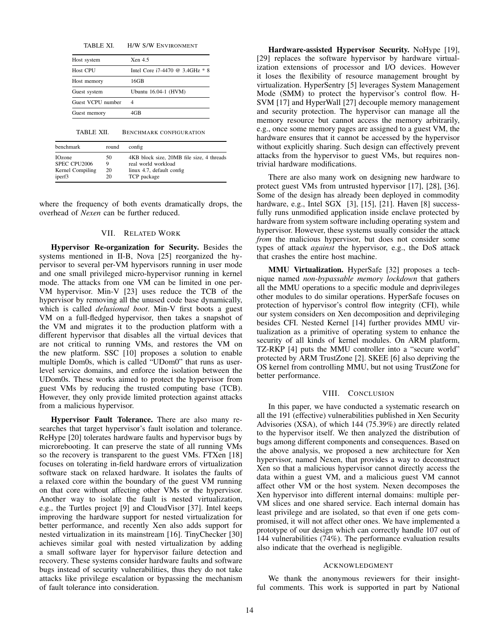| TABLE XI. | H/W S/W ENVIRONMENT |
|-----------|---------------------|
|           |                     |

| Xen 45                            |
|-----------------------------------|
| Intel Core i7-4470 @ 3.4GHz $*$ 8 |
| 16GB                              |
| Ubuntu 16.04-1 (HVM)              |
| 4                                 |
| 4GB                               |
|                                   |

TABLE XII. BENCHMARK CONFIGURATION

| benchmark        | round | config                                    |
|------------------|-------|-------------------------------------------|
| <b>IOzone</b>    | 50    | 4KB block size, 20MB file size, 4 threads |
| SPEC CPU2006     | Q     | real world workload                       |
| Kernel Compiling | 20    | linux 4.7, default config                 |
| iperf3           | 20    | TCP package                               |

where the frequency of both events dramatically drops, the overhead of *Nexen* can be further reduced.

## VII. RELATED WORK

Hypervisor Re-organization for Security. Besides the systems mentioned in II-B, Nova [25] reorganized the hypervisor to several per-VM hypervisors running in user mode and one small privileged micro-hypervisor running in kernel mode. The attacks from one VM can be limited in one per-VM hypervisor. Min-V [23] uses reduce the TCB of the hypervisor by removing all the unused code base dynamically, which is called *delusional boot*. Min-V first boots a guest VM on a full-fledged hypervisor, then takes a snapshot of the VM and migrates it to the production platform with a different hypervisor that disables all the virtual devices that are not critical to running VMs, and restores the VM on the new platform. SSC [10] proposes a solution to enable multiple Dom0s, which is called "UDom0" that runs as userlevel service domains, and enforce the isolation between the UDom0s. These works aimed to protect the hypervisor from guest VMs by reducing the trusted computing base (TCB). However, they only provide limited protection against attacks from a malicious hypervisor.

Hypervisor Fault Tolerance. There are also many researches that target hypervisor's fault isolation and tolerance. ReHype [20] tolerates hardware faults and hypervisor bugs by microrebooting. It can preserve the state of all running VMs so the recovery is transparent to the guest VMs. FTXen [18] focuses on tolerating in-field hardware errors of virtualization software stack on relaxed hardware. It isolates the faults of a relaxed core within the boundary of the guest VM running on that core without affecting other VMs or the hypervisor. Another way to isolate the fault is nested virtualization, e.g., the Turtles project [9] and CloudVisor [37]. Intel keeps improving the hardware support for nested virtualization for better performance, and recently Xen also adds support for nested virtualization in its mainstream [16]. TinyChecker [30] achieves similar goal with nested virtualization by adding a small software layer for hypervisor failure detection and recovery. These systems consider hardware faults and software bugs instead of security vulnerabilities, thus they do not take attacks like privilege escalation or bypassing the mechanism of fault tolerance into consideration.

Hardware-assisted Hypervisor Security. NoHype [19], [29] replaces the software hypervisor by hardware virtualization extensions of processor and I/O devices. However it loses the flexibility of resource management brought by virtualization. HyperSentry [5] leverages System Management Mode (SMM) to protect the hypervisor's control flow. H-SVM [17] and HyperWall [27] decouple memory management and security protection. The hypervisor can manage all the memory resource but cannot access the memory arbitrarily, e.g., once some memory pages are assigned to a guest VM, the hardware ensures that it cannot be accessed by the hypervisor without explicitly sharing. Such design can effectively prevent attacks from the hypervisor to guest VMs, but requires nontrivial hardware modifications.

There are also many work on designing new hardware to protect guest VMs from untrusted hypervisor [17], [28], [36]. Some of the design has already been deployed in commodity hardware, e.g., Intel SGX [3], [15], [21]. Haven [8] successfully runs unmodified application inside enclave protected by hardware from system software including operating system and hypervisor. However, these systems usually consider the attack *from* the malicious hypervisor, but does not consider some types of attack *against* the hypervisor, e.g., the DoS attack that crashes the entire host machine.

MMU Virtualization. HyperSafe [32] proposes a technique named *non-bypassable memory lockdown* that gathers all the MMU operations to a specific module and deprivileges other modules to do similar operations. HyperSafe focuses on protection of hypervisor's control flow integrity (CFI), while our system considers on Xen decomposition and deprivileging besides CFI. Nested Kernel [14] further provides MMU virtualization as a primitive of operating system to enhance the security of all kinds of kernel modules. On ARM platform, TZ-RKP [4] puts the MMU controller into a "secure world" protected by ARM TrustZone [2]. SKEE [6] also depriving the OS kernel from controlling MMU, but not using TrustZone for better performance.

#### VIII. CONCLUSION

In this paper, we have conducted a systematic research on all the 191 (effective) vulnerabilities published in Xen Security Advisories (XSA), of which 144 (75.39%) are directly related to the hypervisor itself. We then analyzed the distribution of bugs among different components and consequences. Based on the above analysis, we proposed a new architecture for Xen hypervisor, named Nexen, that provides a way to deconstruct Xen so that a malicious hypervisor cannot directly access the data within a guest VM, and a malicious guest VM cannot affect other VM or the host system. Nexen decomposes the Xen hypervisor into different internal domains: multiple per-VM slices and one shared service. Each internal domain has least privilege and are isolated, so that even if one gets compromised, it will not affect other ones. We have implemented a prototype of our design which can correctly handle 107 out of 144 vulnerabilities (74%). The performance evaluation results also indicate that the overhead is negligible.

#### ACKNOWLEDGMENT

We thank the anonymous reviewers for their insightful comments. This work is supported in part by National